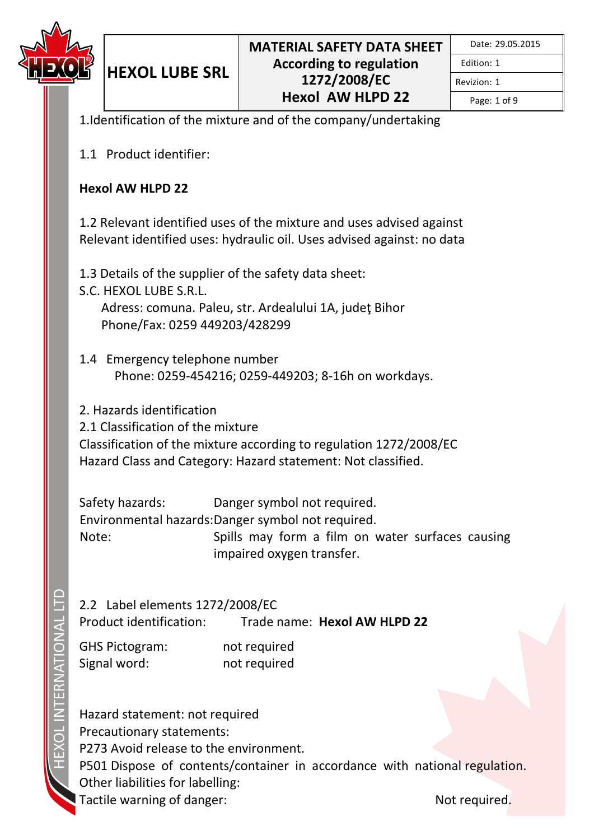

Edition: 1 Revizion: 1

Page: 1 of 9

1.Identification of the mixture and of the company/undertaking

1.1 Product identifier:

**HEXOL LUBE SRL**

#### **Hexol AW HLPD 22**

1.2 Relevant identified uses of the mixture and uses advised against Relevant identified uses: hydraulic oil. Uses advised against: no data

1.3 Details of the supplier of the safety data sheet:

- S.C. HEXOL LUBE S.R.L. Adress: comuna. Paleu, str. Ardealului 1A, judeţ Bihor Phone/Fax: 0259 449203/428299
- 1.4 Emergency telephone number Phone: 0259-454216; 0259-449203; 8-16h on workdays.

2. Hazards identification

2.1 Classification of the mixture

Classification of the mixture according to regulation 1272/2008/EC Hazard Class and Category: Hazard statement: Not classified.

Safety hazards: Danger symbol not required. Environmental hazards: Danger symbol not required. Note: Spills may form a film on water surfaces causing impaired oxygen transfer.

2.2 Label elements 1272/2008/EC Product identification: Trade name: **Hexol AW HLPD 22**

GHS Pictogram: not required Signal word: not required

Hazard statement: not required Precautionary statements: P273 Avoid release to the environment. P501 Dispose of contents/container in accordance with national regulation. Other liabilities for labelling: Tactile warning of danger: Not required.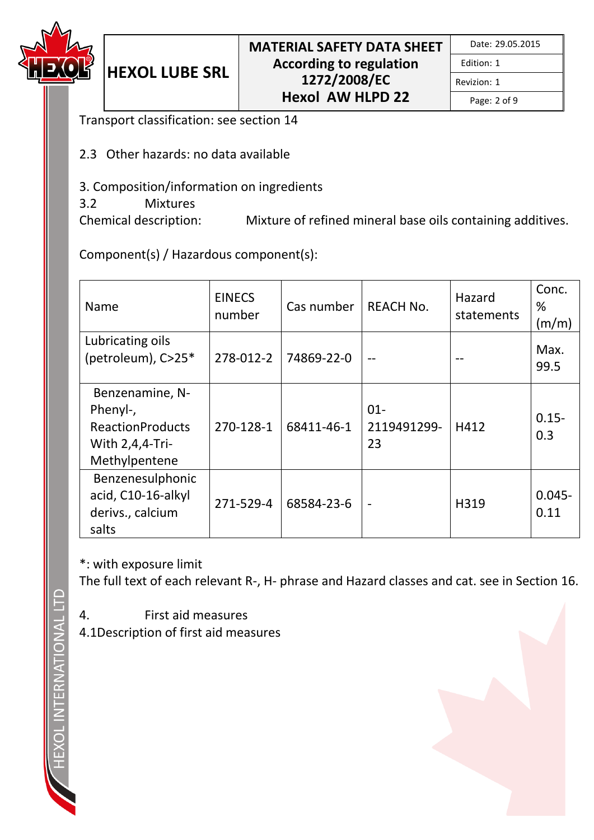

Revizion: 1

Page: 2 of 9

Transport classification: see section 14

**HEXOL LUBE SRL**

- 2.3 Other hazards: no data available
- 3. Composition/information on ingredients
- 3.2 Mixtures

Chemical description: Mixture of refined mineral base oils containing additives.

Component(s) / Hazardous component(s):

| Name                                                                                       | <b>EINECS</b><br>number | Cas number | <b>REACH No.</b>            | Hazard<br>statements | Conc.<br>%<br>(m/m) |
|--------------------------------------------------------------------------------------------|-------------------------|------------|-----------------------------|----------------------|---------------------|
| Lubricating oils<br>(petroleum), C>25*                                                     | 278-012-2               | 74869-22-0 |                             |                      | Max.<br>99.5        |
| Benzenamine, N-<br>Phenyl-,<br><b>ReactionProducts</b><br>With 2,4,4-Tri-<br>Methylpentene | 270-128-1               | 68411-46-1 | $01 -$<br>2119491299-<br>23 | H412                 | $0.15 -$<br>0.3     |
| Benzenesulphonic<br>acid, C10-16-alkyl<br>derivs., calcium<br>salts                        | 271-529-4               | 68584-23-6 | $\blacksquare$              | H319                 | $0.045 -$<br>0.11   |

\*: with exposure limit

The full text of each relevant R-, H- phrase and Hazard classes and cat. see in Section 16.

- 4. First aid measures
- 4.1Description of first aid measures

**TERNATIONAL**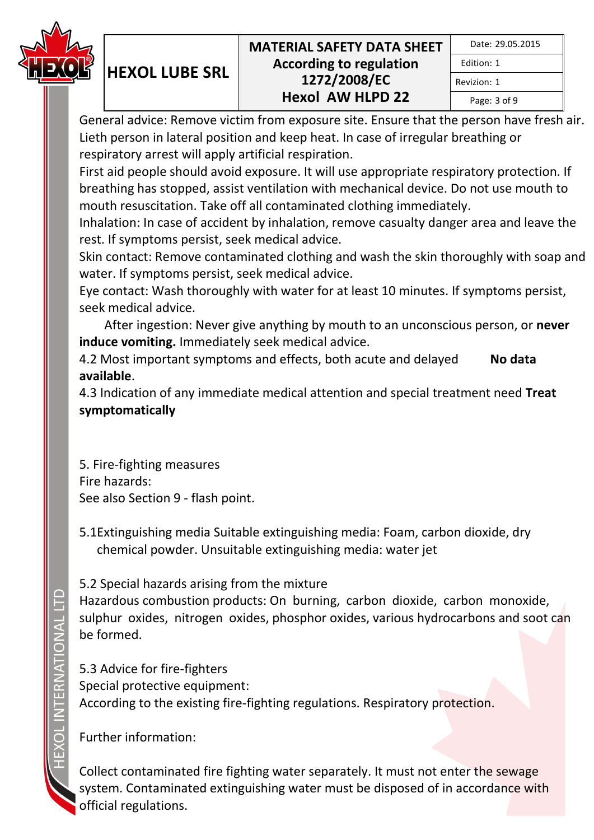

| Date: 29.05.2015 |  |
|------------------|--|
| Fdition: 1       |  |
| Revizion: 1      |  |
| Page: 3 of 9     |  |

General advice: Remove victim from exposure site. Ensure that the person have fresh air. Lieth person in lateral position and keep heat. In case of irregular breathing or respiratory arrest will apply artificial respiration.

First aid people should avoid exposure. It will use appropriate respiratory protection. If breathing has stopped, assist ventilation with mechanical device. Do not use mouth to mouth resuscitation. Take off all contaminated clothing immediately.

Inhalation: In case of accident by inhalation, remove casualty danger area and leave the rest. If symptoms persist, seek medical advice.

Skin contact: Remove contaminated clothing and wash the skin thoroughly with soap and water. If symptoms persist, seek medical advice.

Eye contact: Wash thoroughly with water for at least 10 minutes. If symptoms persist, seek medical advice.

 After ingestion: Never give anything by mouth to an unconscious person, or **never induce vomiting.** Immediately seek medical advice.

4.2 Most important symptoms and effects, both acute and delayed **No data available**.

4.3 Indication of any immediate medical attention and special treatment need **Treat symptomatically**

5. Fire-fighting measures Fire hazards: See also Section 9 - flash point.

**HEXOL LUBE SRL**

5.1Extinguishing media Suitable extinguishing media: Foam, carbon dioxide, dry chemical powder. Unsuitable extinguishing media: water jet

5.2 Special hazards arising from the mixture

Hazardous combustion products: On burning, carbon dioxide, carbon monoxide, sulphur oxides, nitrogen oxides, phosphor oxides, various hydrocarbons and soot can be formed.

5.3 Advice for fire-fighters Special protective equipment: According to the existing fire-fighting regulations. Respiratory protection.

Further information:

Collect contaminated fire fighting water separately. It must not enter the sewage system. Contaminated extinguishing water must be disposed of in accordance with official regulations.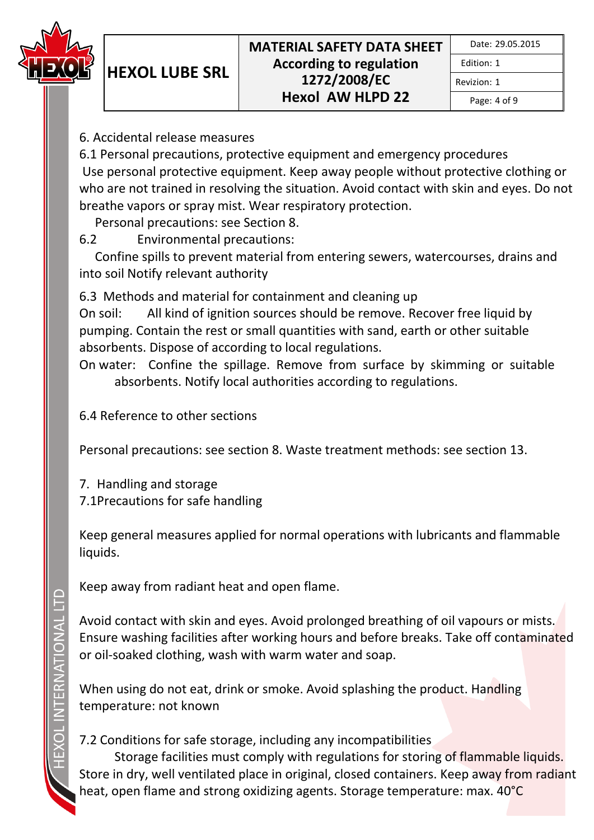

Edition: 1 Revizion: 1

Page: 4 of 9

6. Accidental release measures

**HEXOL LUBE SRL**

6.1 Personal precautions, protective equipment and emergency procedures Use personal protective equipment. Keep away people without protective clothing or who are not trained in resolving the situation. Avoid contact with skin and eyes. Do not breathe vapors or spray mist. Wear respiratory protection.

Personal precautions: see Section 8.

6.2 Environmental precautions:

 Confine spills to prevent material from entering sewers, watercourses, drains and into soil Notify relevant authority

6.3 Methods and material for containment and cleaning up

On soil: All kind of ignition sources should be remove. Recover free liquid by pumping. Contain the rest or small quantities with sand, earth or other suitable absorbents. Dispose of according to local regulations.

On water: Confine the spillage. Remove from surface by skimming or suitable absorbents. Notify local authorities according to regulations.

6.4 Reference to other sections

Personal precautions: see section 8. Waste treatment methods: see section 13.

7. Handling and storage 7.1Precautions for safe handling

Keep general measures applied for normal operations with lubricants and flammable liquids.

Keep away from radiant heat and open flame.

Avoid contact with skin and eyes. Avoid prolonged breathing of oil vapours or mists. Ensure washing facilities after working hours and before breaks. Take off contaminated or oil-soaked clothing, wash with warm water and soap.

When using do not eat, drink or smoke. Avoid splashing the product. Handling temperature: not known

# 7.2 Conditions for safe storage, including any incompatibilities

Storage facilities must comply with regulations for storing of flammable liquids. Store in dry, well ventilated place in original, closed containers. Keep away from radiant heat, open flame and strong oxidizing agents. Storage temperature: max. 40°C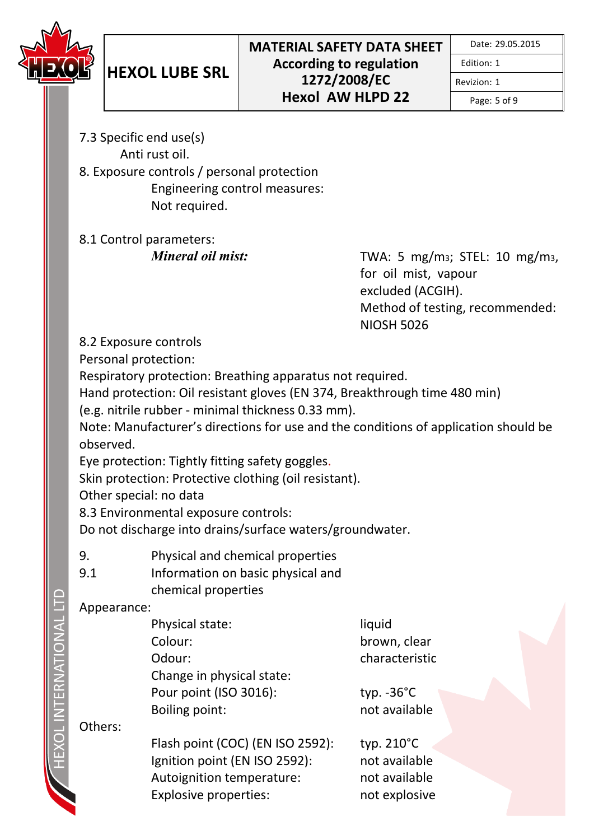

Revizion: 1

Page: 5 of 9

- 7.3 Specific end use(s) Anti rust oil.
- 8. Exposure controls / personal protection Engineering control measures: Not required.

8.1 Control parameters:

*Mineral oil mist:* TWA: 5 mg/m<sub>3</sub>; STEL: 10 mg/m<sub>3</sub>, for oil mist, vapour excluded (ACGIH). Method of testing, recommended: NIOSH 5026

8.2 Exposure controls

Personal protection:

Respiratory protection: Breathing apparatus not required.

Hand protection: Oil resistant gloves (EN 374, Breakthrough time 480 min)

(e.g. nitrile rubber - minimal thickness 0.33 mm).

Note: Manufacturer's directions for use and the conditions of application should be observed.

Eye protection: Tightly fitting safety goggles.

Skin protection: Protective clothing (oil resistant).

Other special: no data

8.3 Environmental exposure controls:

Do not discharge into drains/surface waters/groundwater.

- 9. Physical and chemical properties
- 9.1 Information on basic physical and chemical properties

## Appearance:

| Physical state:           | liquid               |
|---------------------------|----------------------|
| Colour:                   | brown, cle           |
| Odour:                    | characteri           |
| Change in physical state: |                      |
| Pour point (ISO 3016):    | typ. $-36^{\circ}$ C |
| Boiling point:            | not availa           |
|                           |                      |

n. clear cteristic

vailable

Others:

Flash point (COC) (EN ISO 2592): typ. 210°C Ignition point (EN ISO 2592): not available Autoignition temperature: not available Explosive properties: not explosive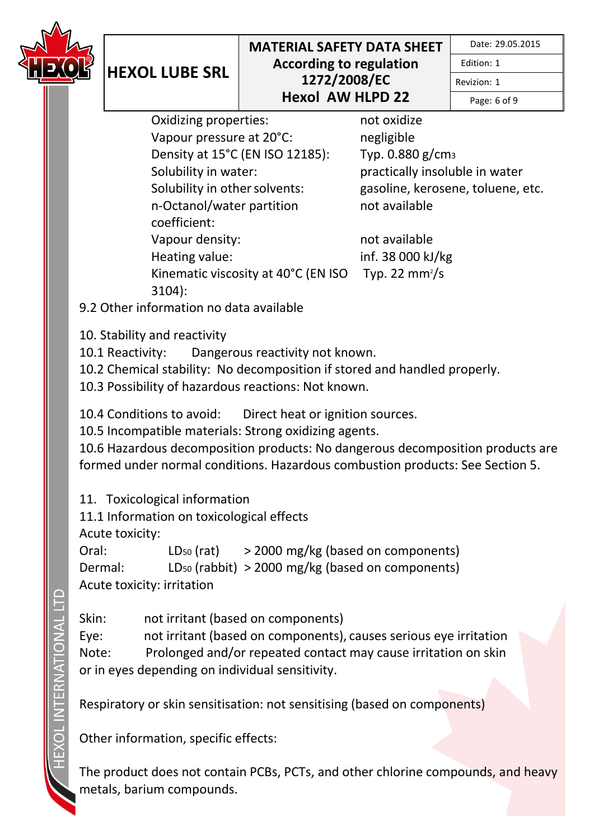

Edition: 1

Page: 6 of 9

Revizion: 1

Oxidizing properties: not oxidize Vapour pressure at 20°C: negligible Density at 15°C (EN ISO 12185): Typ. 0.880 g/cm<sup>3</sup> Solubility in water: practically insoluble in water Solubility in other solvents: gasoline, kerosene, toluene, etc. n-Octanol/water partition coefficient: Vapour density: not available Heating value: inf. 38 000 kJ/kg Kinematic viscosity at 40°C (EN ISO 3104):

not available

Typ. 22 mm<sup>2</sup>/s

9.2 Other information no data available

10. Stability and reactivity

**HEXOL LUBE SRL**

10.1 Reactivity: Dangerous reactivity not known.

10.2 Chemical stability: No decomposition if stored and handled properly.

10.3 Possibility of hazardous reactions: Not known.

10.4 Conditions to avoid: Direct heat or ignition sources.

10.5 Incompatible materials: Strong oxidizing agents.

10.6 Hazardous decomposition products: No dangerous decomposition products are formed under normal conditions. Hazardous combustion products: See Section 5.

11. Toxicological information

11.1 Information on toxicological effects

Acute toxicity:

Oral:  $LD_{50} (rat)$  > 2000 mg/kg (based on components) Dermal: LD<sup>50</sup> (rabbit) > 2000 mg/kg (based on components) Acute toxicity: irritation

Skin: not irritant (based on components) Eye: not irritant (based on components), causes serious eye irritation Note: Prolonged and/or repeated contact may cause irritation on skin or in eyes depending on individual sensitivity.

Respiratory or skin sensitisation: not sensitising (based on components)

Other information, specific effects:

The product does not contain PCBs, PCTs, and other chlorine compounds, and heavy metals, barium compounds.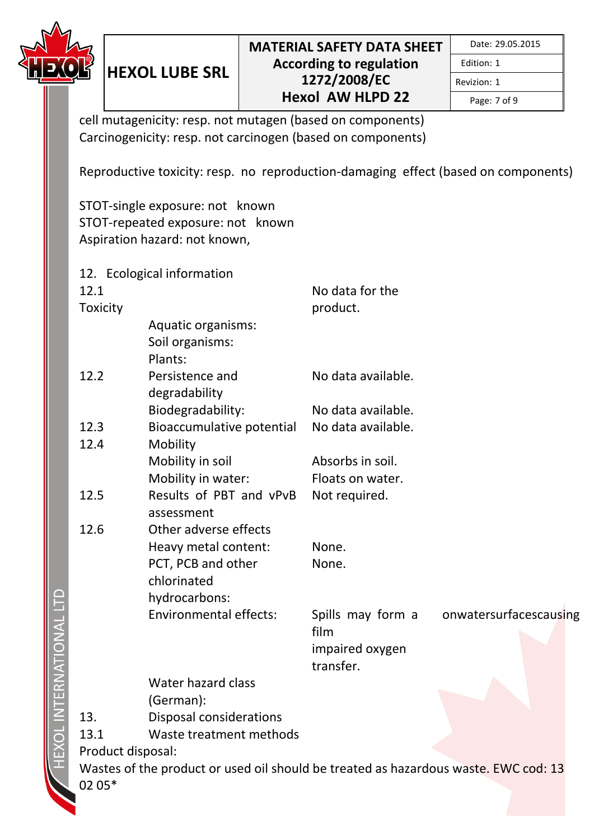

Page: 7 of 9

Revizion: 1

cell mutagenicity: resp. not mutagen (based on components) Carcinogenicity: resp. not carcinogen (based on components)

Reproductive toxicity: resp. no reproduction-damaging effect (based on components)

STOT-single exposure: not known STOT-repeated exposure: not known Aspiration hazard: not known,

**HEXOL LUBE SRL**

12. Ecological information 12.1 **Toxicity** No data for the product. Aquatic organisms: Soil organisms: Plants: 12.2 Persistence and degradability No data available. Biodegradability: No data available. 12.3 Bioaccumulative potential No data available. 12.4 Mobility Mobility in soil **Absorbs** in soil. Mobility in water: Floats on water. 12.5 Results of PBT and vPvB Not required. assessment 12.6 Other adverse effects Heavy metal content: None. PCT, PCB and other chlorinated None. hydrocarbons: Environmental effects: Spills may form a film onwatersurfacescausing impaired oxygen transfer. Water hazard class (German): 13. Disposal considerations 13.1 Waste treatment methods Product disposal: Wastes of the product or used oil should be treated as hazardous waste. EWC cod: 13 02 05\*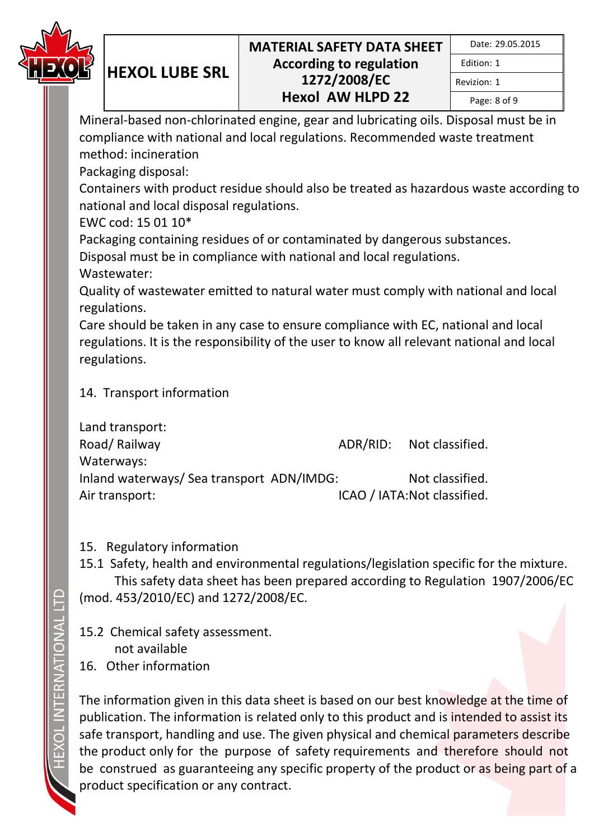

Edition: 1 Revizion: 1

Page: 8 of 9

Mineral-based non-chlorinated engine, gear and lubricating oils. Disposal must be in compliance with national and local regulations. Recommended waste treatment method: incineration

Packaging disposal:

**HEXOL LUBE SRL**

Containers with product residue should also be treated as hazardous waste according to national and local disposal regulations.

EWC cod: 15 01 10\*

Packaging containing residues of or contaminated by dangerous substances.

Disposal must be in compliance with national and local regulations.

Wastewater:

Quality of wastewater emitted to natural water must comply with national and local regulations.

Care should be taken in any case to ensure compliance with EC, national and local regulations. It is the responsibility of the user to know all relevant national and local regulations.

## 14. Transport information

| Land transport:                           |                              |
|-------------------------------------------|------------------------------|
| Road/Railway                              | ADR/RID: Not classified.     |
| Waterways:                                |                              |
| Inland waterways/ Sea transport ADN/IMDG: | Not classified.              |
| Air transport:                            | ICAO / IATA: Not classified. |

## 15. Regulatory information

15.1 Safety, health and environmental regulations/legislation specific for the mixture. This safety data sheet has been prepared according to Regulation 1907/2006/EC (mod. 453/2010/EC) and 1272/2008/EC.

15.2 Chemical safety assessment. not available 16. Other information

The information given in this data sheet is based on our best knowledge at the time of publication. The information is related only to this product and is intended to assist its safe transport, handling and use. The given physical and chemical parameters describe the product only for the purpose of safety requirements and therefore should not be construed as guaranteeing any specific property of the product or as being part of a product specification or any contract.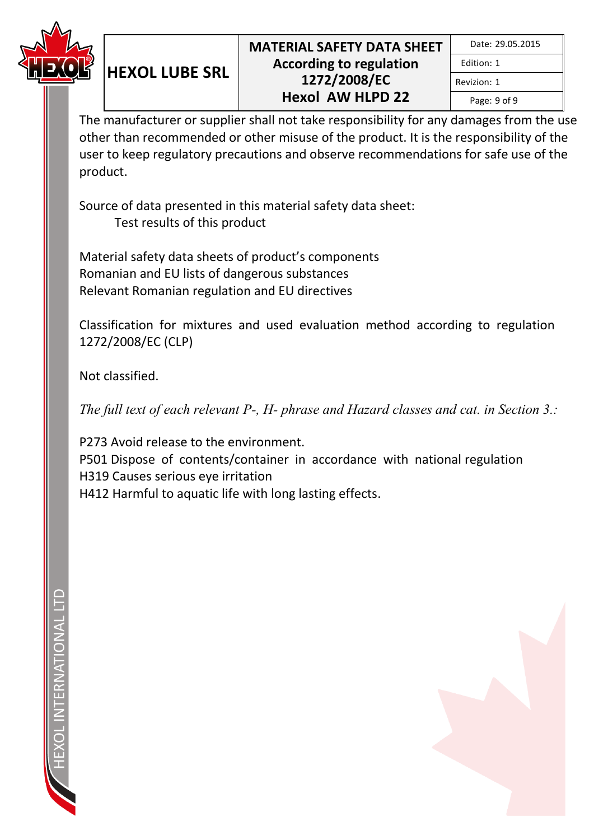

Page: 9 of 9

Revizion: 1

The manufacturer or supplier shall not take responsibility for any damages from the use other than recommended or other misuse of the product. It is the responsibility of the user to keep regulatory precautions and observe recommendations for safe use of the product.

Source of data presented in this material safety data sheet: Test results of this product

Material safety data sheets of product's components Romanian and EU lists of dangerous substances Relevant Romanian regulation and EU directives

**HEXOL LUBE SRL**

Classification for mixtures and used evaluation method according to regulation 1272/2008/EC (CLP)

Not classified.

*The full text of each relevant P-, H- phrase and Hazard classes and cat. in Section 3.:* 

P273 Avoid release to the environment. P501 Dispose of contents/container in accordance with national regulation H319 Causes serious eye irritation H412 Harmful to aquatic life with long lasting effects.

FRNATIONALI

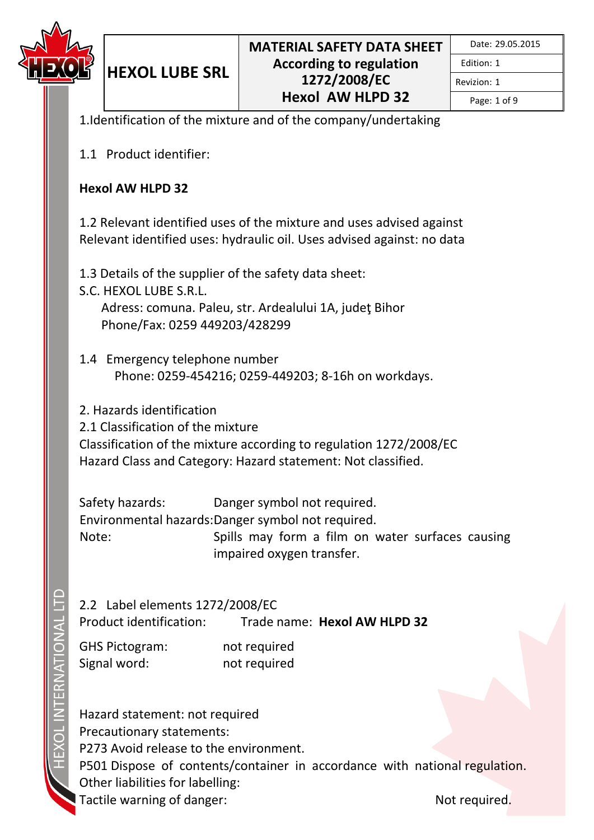

Revizion: 1

Page: 1 of 9

1.Identification of the mixture and of the company/undertaking

1.1 Product identifier:

**HEXOL LUBE SRL**

#### **Hexol AW HLPD 32**

1.2 Relevant identified uses of the mixture and uses advised against Relevant identified uses: hydraulic oil. Uses advised against: no data

1.3 Details of the supplier of the safety data sheet:

- S.C. HEXOL LUBE S.R.L. Adress: comuna. Paleu, str. Ardealului 1A, judeţ Bihor Phone/Fax: 0259 449203/428299
- 1.4 Emergency telephone number Phone: 0259-454216; 0259-449203; 8-16h on workdays.

2. Hazards identification

2.1 Classification of the mixture

Classification of the mixture according to regulation 1272/2008/EC Hazard Class and Category: Hazard statement: Not classified.

Safety hazards: Danger symbol not required. Environmental hazards: Danger symbol not required. Note: Spills may form a film on water surfaces causing impaired oxygen transfer.

2.2 Label elements 1272/2008/EC

Product identification: Trade name: **Hexol AW HLPD 32**

GHS Pictogram: not required Signal word: not required

Hazard statement: not required Precautionary statements: P273 Avoid release to the environment. P501 Dispose of contents/container in accordance with national regulation. Other liabilities for labelling: Tactile warning of danger: Not required.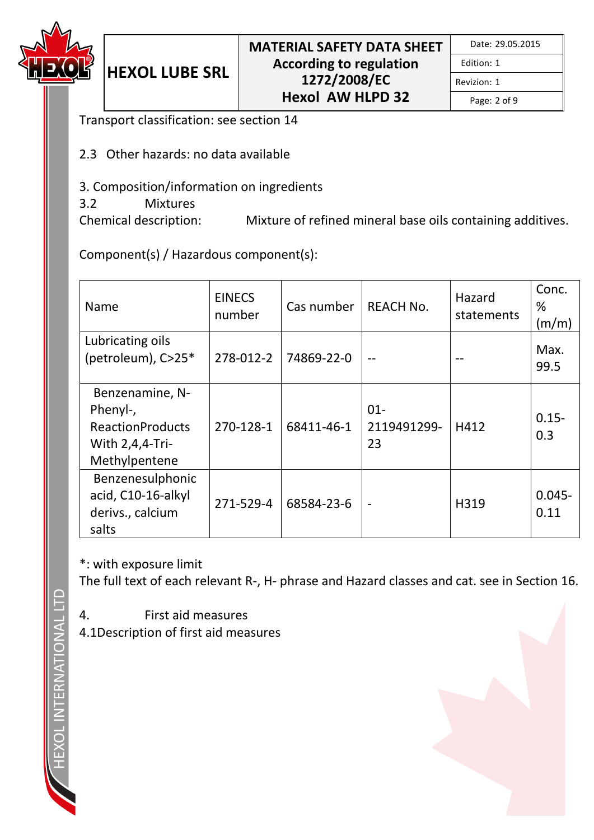

|  | Date: 29.05.2015 |
|--|------------------|
|--|------------------|

Revizion: 1

Page: 2 of 9

Transport classification: see section 14

**HEXOL LUBE SRL**

- 2.3 Other hazards: no data available
- 3. Composition/information on ingredients
- 3.2 Mixtures

Chemical description: Mixture of refined mineral base oils containing additives.

Component(s) / Hazardous component(s):

| Name                                                                                          | <b>EINECS</b><br>number | Cas number | <b>REACH No.</b>            | Hazard<br>statements | Conc.<br>℅<br>(m/m) |
|-----------------------------------------------------------------------------------------------|-------------------------|------------|-----------------------------|----------------------|---------------------|
| Lubricating oils<br>(petroleum), C>25*                                                        | 278-012-2               | 74869-22-0 |                             |                      | Max.<br>99.5        |
| Benzenamine, N-<br>Phenyl-,<br><b>ReactionProducts</b><br>With $2,4,4$ -Tri-<br>Methylpentene | 270-128-1               | 68411-46-1 | $01 -$<br>2119491299-<br>23 | H412                 | $0.15 -$<br>0.3     |
| Benzenesulphonic<br>acid, C10-16-alkyl<br>derivs., calcium<br>salts                           | 271-529-4               | 68584-23-6 | $\blacksquare$              | H319                 | $0.045 -$<br>0.11   |

\*: with exposure limit

The full text of each relevant R-, H- phrase and Hazard classes and cat. see in Section 16.

- 4. First aid measures
- 4.1Description of first aid measures

**TERNATIONAL**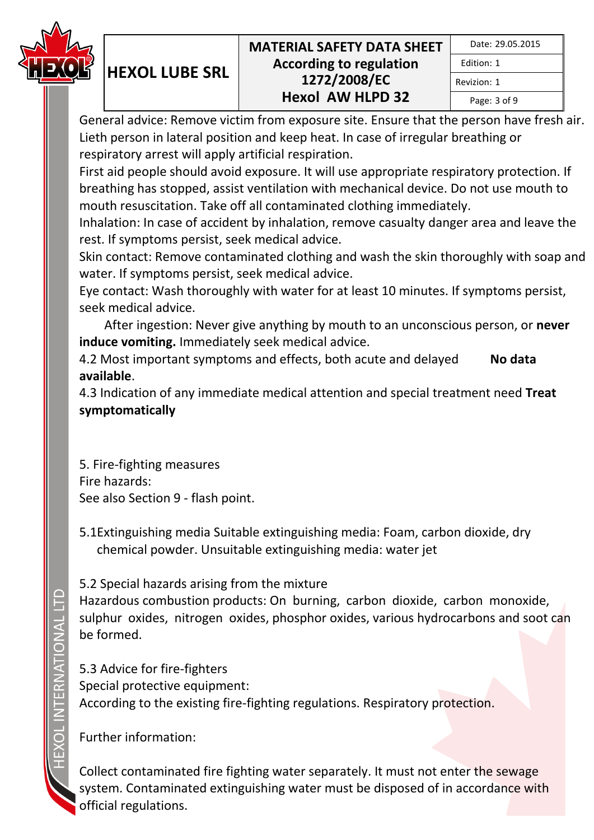

| Date: 29.05.2015 |  |
|------------------|--|
| Fdition: 1       |  |
| Revizion: 1      |  |
| Page: 3 of 9     |  |

General advice: Remove victim from exposure site. Ensure that the person have fresh air. Lieth person in lateral position and keep heat. In case of irregular breathing or respiratory arrest will apply artificial respiration.

First aid people should avoid exposure. It will use appropriate respiratory protection. If breathing has stopped, assist ventilation with mechanical device. Do not use mouth to mouth resuscitation. Take off all contaminated clothing immediately.

Inhalation: In case of accident by inhalation, remove casualty danger area and leave the rest. If symptoms persist, seek medical advice.

Skin contact: Remove contaminated clothing and wash the skin thoroughly with soap and water. If symptoms persist, seek medical advice.

Eye contact: Wash thoroughly with water for at least 10 minutes. If symptoms persist, seek medical advice.

 After ingestion: Never give anything by mouth to an unconscious person, or **never induce vomiting.** Immediately seek medical advice.

4.2 Most important symptoms and effects, both acute and delayed **No data available**.

4.3 Indication of any immediate medical attention and special treatment need **Treat symptomatically**

5. Fire-fighting measures Fire hazards: See also Section 9 - flash point.

**HEXOL LUBE SRL**

5.1Extinguishing media Suitable extinguishing media: Foam, carbon dioxide, dry chemical powder. Unsuitable extinguishing media: water jet

5.2 Special hazards arising from the mixture

Hazardous combustion products: On burning, carbon dioxide, carbon monoxide, sulphur oxides, nitrogen oxides, phosphor oxides, various hydrocarbons and soot can be formed.

5.3 Advice for fire-fighters Special protective equipment: According to the existing fire-fighting regulations. Respiratory protection.

Further information:

Collect contaminated fire fighting water separately. It must not enter the sewage system. Contaminated extinguishing water must be disposed of in accordance with official regulations.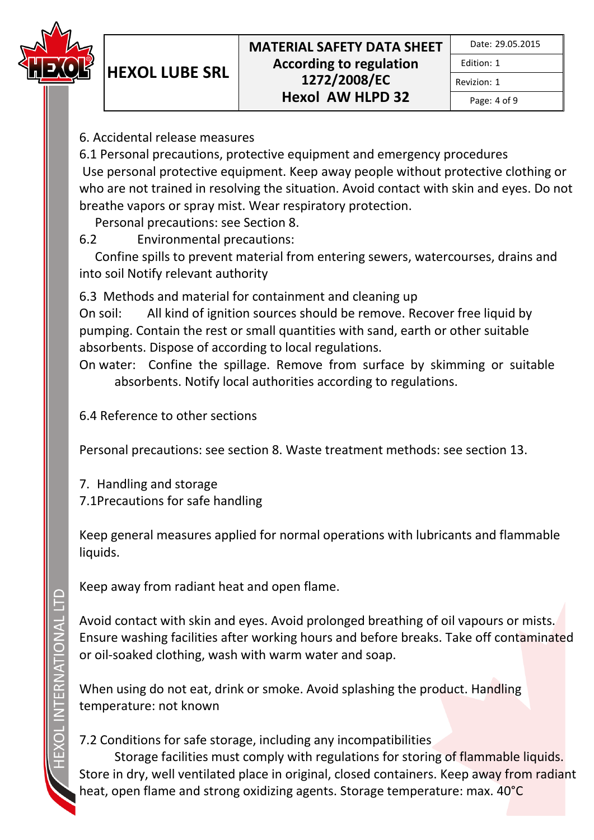

Edition: 1 Revizion: 1

Page: 4 of 9

6. Accidental release measures

**HEXOL LUBE SRL**

6.1 Personal precautions, protective equipment and emergency procedures Use personal protective equipment. Keep away people without protective clothing or who are not trained in resolving the situation. Avoid contact with skin and eyes. Do not breathe vapors or spray mist. Wear respiratory protection.

Personal precautions: see Section 8.

6.2 Environmental precautions:

 Confine spills to prevent material from entering sewers, watercourses, drains and into soil Notify relevant authority

6.3 Methods and material for containment and cleaning up

On soil: All kind of ignition sources should be remove. Recover free liquid by pumping. Contain the rest or small quantities with sand, earth or other suitable absorbents. Dispose of according to local regulations.

On water: Confine the spillage. Remove from surface by skimming or suitable absorbents. Notify local authorities according to regulations.

6.4 Reference to other sections

Personal precautions: see section 8. Waste treatment methods: see section 13.

7. Handling and storage 7.1Precautions for safe handling

Keep general measures applied for normal operations with lubricants and flammable liquids.

Keep away from radiant heat and open flame.

Avoid contact with skin and eyes. Avoid prolonged breathing of oil vapours or mists. Ensure washing facilities after working hours and before breaks. Take off contaminated or oil-soaked clothing, wash with warm water and soap.

When using do not eat, drink or smoke. Avoid splashing the product. Handling temperature: not known

# 7.2 Conditions for safe storage, including any incompatibilities

Storage facilities must comply with regulations for storing of flammable liquids. Store in dry, well ventilated place in original, closed containers. Keep away from radiant heat, open flame and strong oxidizing agents. Storage temperature: max. 40°C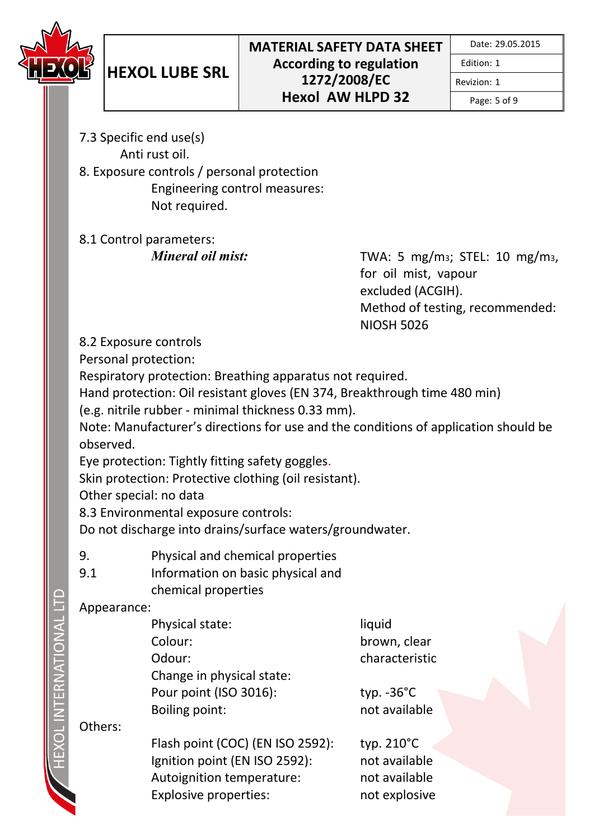

Revizion: 1

Page: 5 of 9

- 7.3 Specific end use(s) Anti rust oil.
- 8. Exposure controls / personal protection Engineering control measures: Not required.

8.1 Control parameters:

*Mineral oil mist:* TWA: 5 mg/m<sub>3</sub>; STEL: 10 mg/m<sub>3</sub>, for oil mist, vapour excluded (ACGIH). Method of testing, recommended: NIOSH 5026

8.2 Exposure controls

Personal protection:

Respiratory protection: Breathing apparatus not required.

Hand protection: Oil resistant gloves (EN 374, Breakthrough time 480 min)

(e.g. nitrile rubber - minimal thickness 0.33 mm).

Note: Manufacturer's directions for use and the conditions of application should be observed.

Eye protection: Tightly fitting safety goggles.

Skin protection: Protective clothing (oil resistant).

Other special: no data

8.3 Environmental exposure controls:

Do not discharge into drains/surface waters/groundwater.

- 9. Physical and chemical properties
- 9.1 Information on basic physical and chemical properties

## Appearance:

| Physical state:           | liquid               |
|---------------------------|----------------------|
| Colour:                   | brown, cle           |
| Odour:                    | characteri           |
| Change in physical state: |                      |
| Pour point (ISO 3016):    | typ. $-36^{\circ}$ C |
| Boiling point:            | not availa           |
|                           |                      |

Others:

Flash point (COC) (EN ISO 2592): typ. 210°C Ignition point (EN ISO 2592): not available Autoignition temperature: not available Explosive properties: not explosive

n. clear cteristic

vailable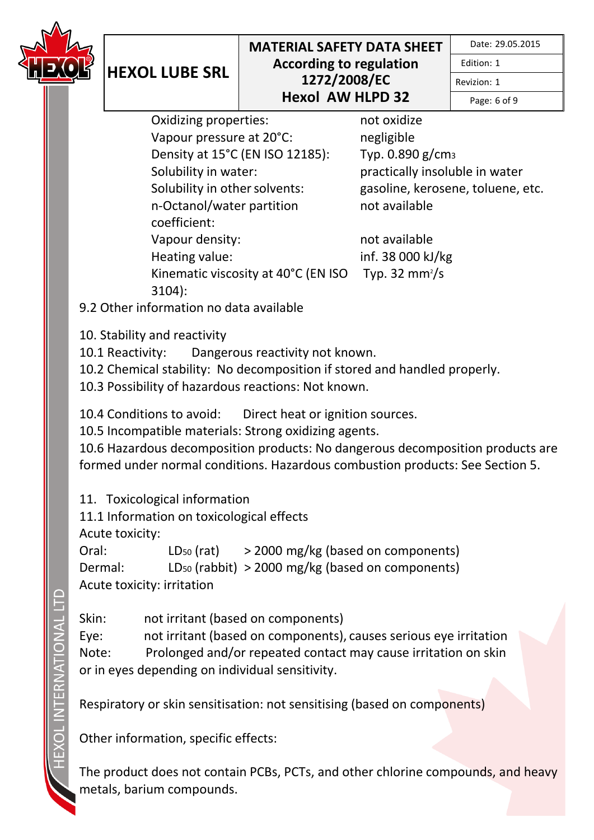

Edition: 1

Revizion: 1

Page: 6 of 9

Oxidizing properties: not oxidize Vapour pressure at 20°C: negligible Density at 15°C (EN ISO 12185): Typ. 0.890 g/cm<sup>3</sup> Solubility in water: practically insoluble in water Solubility in other solvents: gasoline, kerosene, toluene, etc. n-Octanol/water partition coefficient: Vapour density: not available Heating value: inf. 38 000 kJ/kg Kinematic viscosity at 40°C (EN ISO 3104):

not available

Typ. 32 mm $\frac{2}{s}$ 

9.2 Other information no data available

10. Stability and reactivity

**HEXOL LUBE SRL**

10.1 Reactivity: Dangerous reactivity not known.

10.2 Chemical stability: No decomposition if stored and handled properly.

10.3 Possibility of hazardous reactions: Not known.

10.4 Conditions to avoid: Direct heat or ignition sources.

10.5 Incompatible materials: Strong oxidizing agents.

10.6 Hazardous decomposition products: No dangerous decomposition products are formed under normal conditions. Hazardous combustion products: See Section 5.

11. Toxicological information

11.1 Information on toxicological effects

Acute toxicity:

Oral:  $LD_{50} (rat)$  > 2000 mg/kg (based on components) Dermal: LD<sup>50</sup> (rabbit) > 2000 mg/kg (based on components) Acute toxicity: irritation

Skin: not irritant (based on components) Eye: not irritant (based on components), causes serious eye irritation Note: Prolonged and/or repeated contact may cause irritation on skin or in eyes depending on individual sensitivity.

Respiratory or skin sensitisation: not sensitising (based on components)

Other information, specific effects:

The product does not contain PCBs, PCTs, and other chlorine compounds, and heavy metals, barium compounds.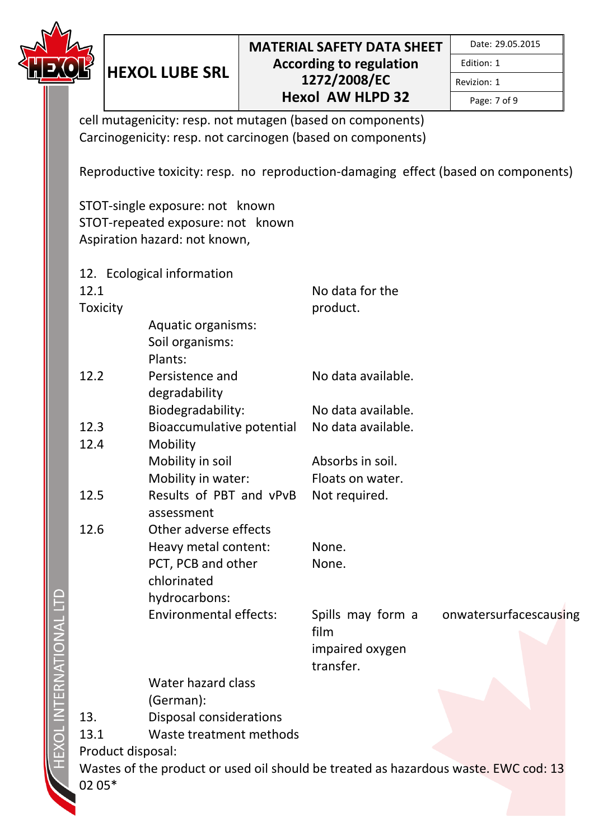

ITERNATIONAL

Edition: 1

Revizion: 1 Page: 7 of 9

cell mutagenicity: resp. not mutagen (based on components) Carcinogenicity: resp. not carcinogen (based on components)

Reproductive toxicity: resp. no reproduction-damaging effect (based on components)

STOT-single exposure: not known STOT-repeated exposure: not known Aspiration hazard: not known,

**HEXOL LUBE SRL**

|                   | 12. Ecological information                                                          |                    |                        |
|-------------------|-------------------------------------------------------------------------------------|--------------------|------------------------|
| 12.1              |                                                                                     | No data for the    |                        |
| Toxicity          |                                                                                     | product.           |                        |
|                   | <b>Aquatic organisms:</b>                                                           |                    |                        |
|                   | Soil organisms:                                                                     |                    |                        |
|                   | Plants:                                                                             |                    |                        |
| 12.2              | Persistence and                                                                     | No data available. |                        |
|                   | degradability                                                                       |                    |                        |
|                   | Biodegradability:                                                                   | No data available. |                        |
| 12.3              | Bioaccumulative potential                                                           | No data available. |                        |
| 12.4              | Mobility                                                                            |                    |                        |
|                   | Mobility in soil                                                                    | Absorbs in soil.   |                        |
|                   | Mobility in water:                                                                  | Floats on water.   |                        |
| 12.5              | Results of PBT and vPvB                                                             | Not required.      |                        |
|                   | assessment                                                                          |                    |                        |
| 12.6              | Other adverse effects                                                               |                    |                        |
|                   | Heavy metal content:                                                                | None.              |                        |
|                   | PCT, PCB and other                                                                  | None.              |                        |
|                   | chlorinated                                                                         |                    |                        |
|                   | hydrocarbons:                                                                       |                    |                        |
|                   | <b>Environmental effects:</b>                                                       | Spills may form a  | onwatersurfacescausing |
|                   |                                                                                     | film               |                        |
|                   |                                                                                     | impaired oxygen    |                        |
|                   |                                                                                     | transfer.          |                        |
|                   | Water hazard class                                                                  |                    |                        |
|                   | (German):                                                                           |                    |                        |
| 13.               | <b>Disposal considerations</b>                                                      |                    |                        |
| 13.1              | Waste treatment methods                                                             |                    |                        |
| Product disposal: |                                                                                     |                    |                        |
|                   | Wastes of the product or used oil should be treated as hazardous waste. EWC cod: 13 |                    |                        |
| 02 05*            |                                                                                     |                    |                        |
|                   |                                                                                     |                    |                        |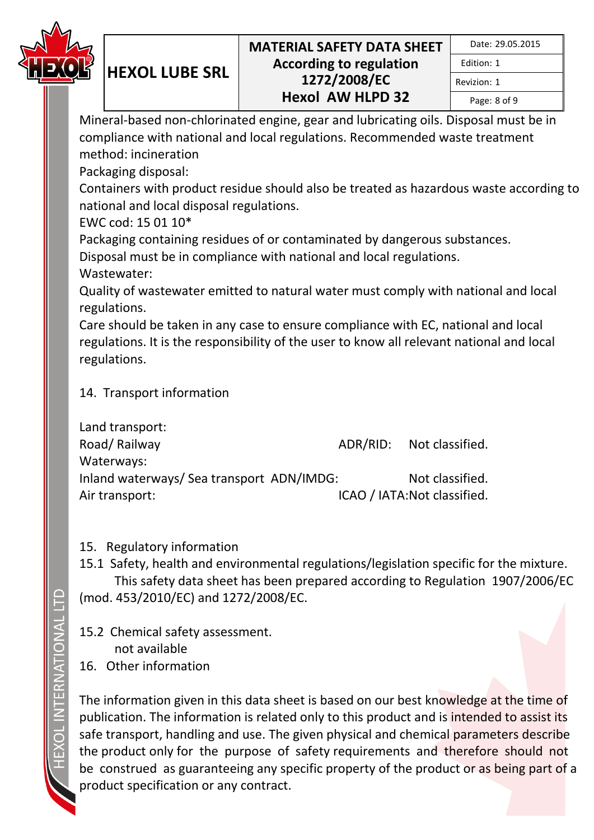

|  | Date: 29.05.2015 |
|--|------------------|
|--|------------------|

Edition: 1 Revizion: 1

Page: 8 of 9

Mineral-based non-chlorinated engine, gear and lubricating oils. Disposal must be in compliance with national and local regulations. Recommended waste treatment method: incineration

Packaging disposal:

**HEXOL LUBE SRL**

Containers with product residue should also be treated as hazardous waste according to national and local disposal regulations.

EWC cod: 15 01 10\*

Packaging containing residues of or contaminated by dangerous substances.

Disposal must be in compliance with national and local regulations.

Wastewater:

Quality of wastewater emitted to natural water must comply with national and local regulations.

Care should be taken in any case to ensure compliance with EC, national and local regulations. It is the responsibility of the user to know all relevant national and local regulations.

## 14. Transport information

|                                           | ADR/RID: Not classified.     |
|-------------------------------------------|------------------------------|
|                                           |                              |
| Inland waterways/ Sea transport ADN/IMDG: | Not classified.              |
|                                           | ICAO / IATA: Not classified. |
|                                           |                              |

## 15. Regulatory information

15.1 Safety, health and environmental regulations/legislation specific for the mixture. This safety data sheet has been prepared according to Regulation 1907/2006/EC (mod. 453/2010/EC) and 1272/2008/EC.

15.2 Chemical safety assessment. not available 16. Other information

The information given in this data sheet is based on our best knowledge at the time of publication. The information is related only to this product and is intended to assist its safe transport, handling and use. The given physical and chemical parameters describe the product only for the purpose of safety requirements and therefore should not be construed as guaranteeing any specific property of the product or as being part of a product specification or any contract.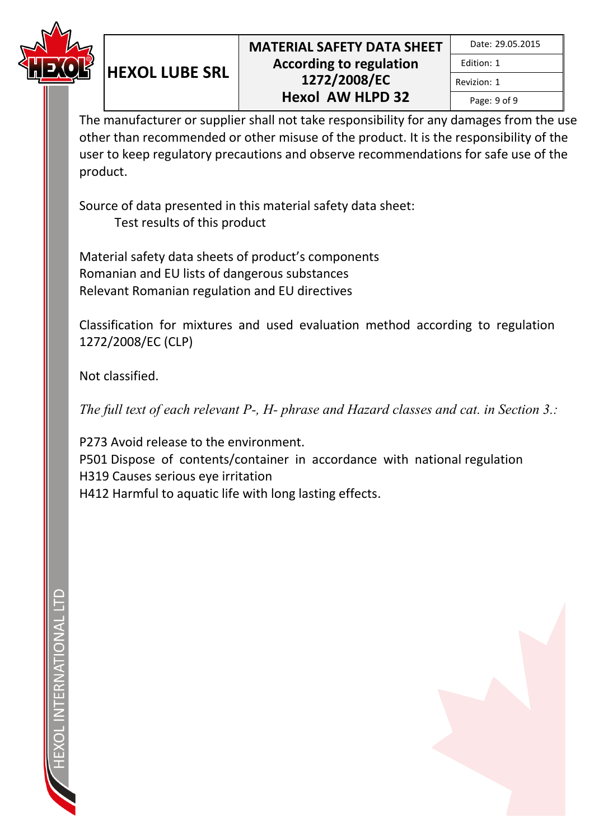

Page: 9 of 9

Revizion: 1

The manufacturer or supplier shall not take responsibility for any damages from the use other than recommended or other misuse of the product. It is the responsibility of the user to keep regulatory precautions and observe recommendations for safe use of the product.

Source of data presented in this material safety data sheet: Test results of this product

Material safety data sheets of product's components Romanian and EU lists of dangerous substances Relevant Romanian regulation and EU directives

**HEXOL LUBE SRL**

Classification for mixtures and used evaluation method according to regulation 1272/2008/EC (CLP)

Not classified.

*The full text of each relevant P-, H- phrase and Hazard classes and cat. in Section 3.:* 

P273 Avoid release to the environment. P501 Dispose of contents/container in accordance with national regulation H319 Causes serious eye irritation H412 Harmful to aquatic life with long lasting effects.

FRNATIONAL

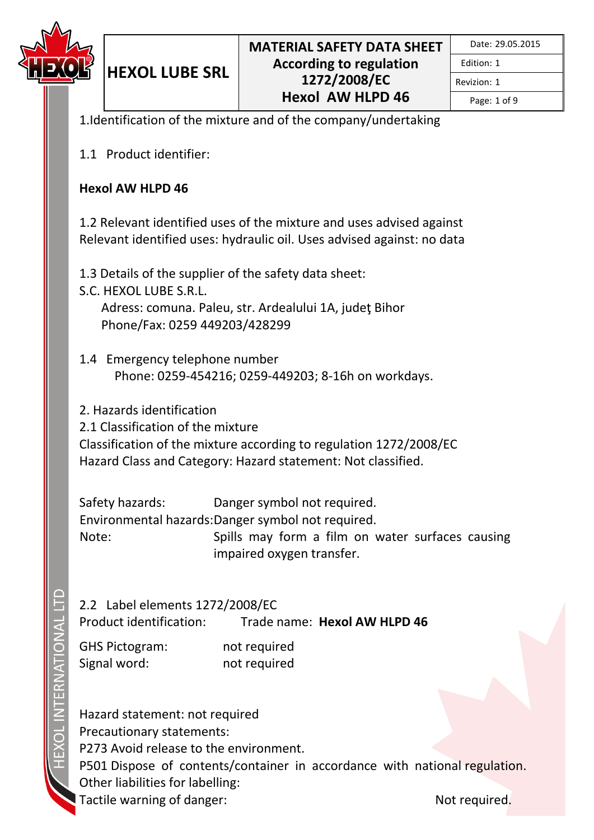

Revizion: 1

Page: 1 of 9

1.Identification of the mixture and of the company/undertaking

1.1 Product identifier:

**HEXOL LUBE SRL**

#### **Hexol AW HLPD 46**

1.2 Relevant identified uses of the mixture and uses advised against Relevant identified uses: hydraulic oil. Uses advised against: no data

1.3 Details of the supplier of the safety data sheet:

- S.C. HEXOL LUBE S.R.L. Adress: comuna. Paleu, str. Ardealului 1A, judeţ Bihor Phone/Fax: 0259 449203/428299
- 1.4 Emergency telephone number Phone: 0259-454216; 0259-449203; 8-16h on workdays.

2. Hazards identification

2.1 Classification of the mixture

Classification of the mixture according to regulation 1272/2008/EC Hazard Class and Category: Hazard statement: Not classified.

Safety hazards: Danger symbol not required. Environmental hazards: Danger symbol not required. Note: Spills may form a film on water surfaces causing impaired oxygen transfer.

2.2 Label elements 1272/2008/EC

Product identification: Trade name: **Hexol AW HLPD 46**

GHS Pictogram: not required Signal word: not required

Hazard statement: not required Precautionary statements: P273 Avoid release to the environment. P501 Dispose of contents/container in accordance with national regulation. Other liabilities for labelling: Tactile warning of danger: Not required.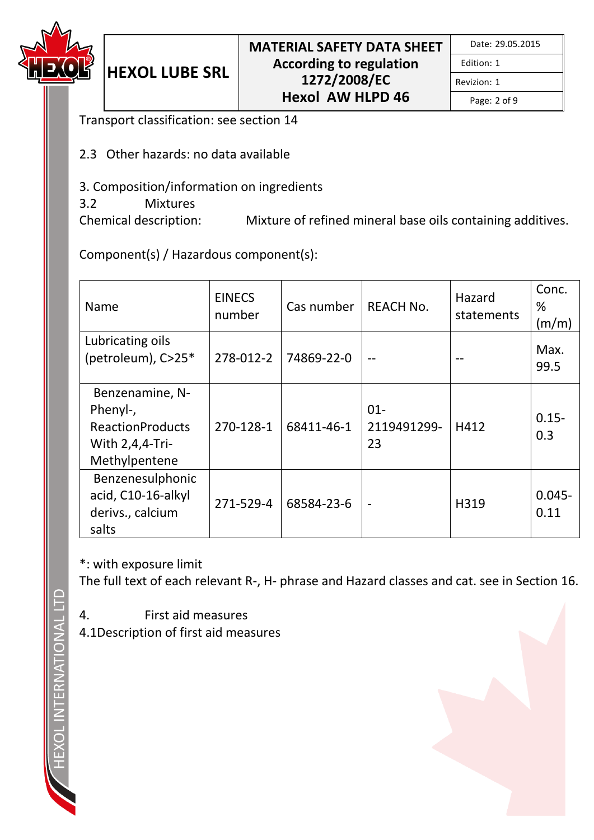

| Date: 29.05.2015 |  |  |
|------------------|--|--|
|------------------|--|--|

Revizion: 1

Page: 2 of 9

Transport classification: see section 14

**HEXOL LUBE SRL**

- 2.3 Other hazards: no data available
- 3. Composition/information on ingredients
- 3.2 Mixtures

Chemical description: Mixture of refined mineral base oils containing additives.

Component(s) / Hazardous component(s):

| Name                                                                                       | <b>EINECS</b><br>number | Cas number | <b>REACH No.</b>            | Hazard<br>statements | Conc.<br>%<br>(m/m) |
|--------------------------------------------------------------------------------------------|-------------------------|------------|-----------------------------|----------------------|---------------------|
| Lubricating oils<br>(petroleum), C>25*                                                     | 278-012-2               | 74869-22-0 |                             |                      | Max.<br>99.5        |
| Benzenamine, N-<br>Phenyl-,<br><b>ReactionProducts</b><br>With 2,4,4-Tri-<br>Methylpentene | 270-128-1               | 68411-46-1 | $01 -$<br>2119491299-<br>23 | H412                 | $0.15 -$<br>0.3     |
| Benzenesulphonic<br>acid, C10-16-alkyl<br>derivs., calcium<br>salts                        | 271-529-4               | 68584-23-6 | $\blacksquare$              | H319                 | $0.045 -$<br>0.11   |

\*: with exposure limit

The full text of each relevant R-, H- phrase and Hazard classes and cat. see in Section 16.

- 4. First aid measures
- 4.1Description of first aid measures

**TERNATIONAL**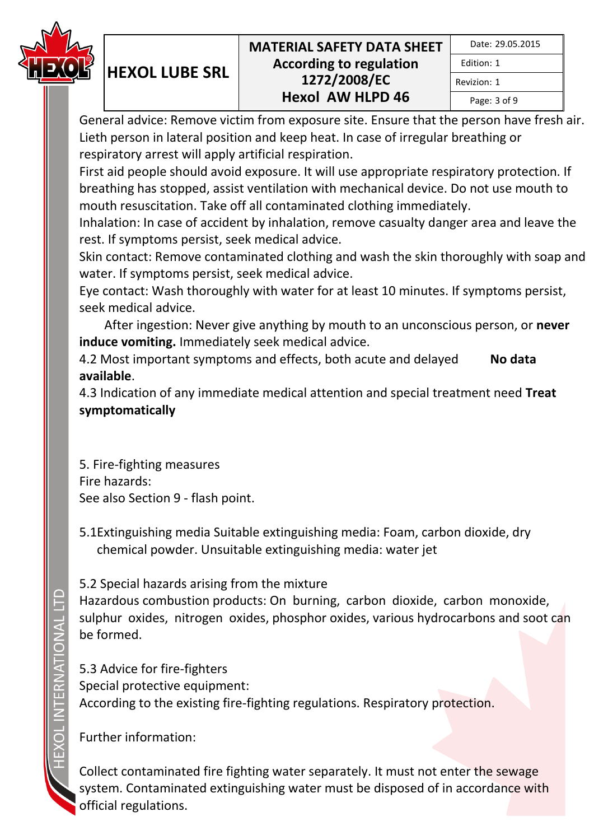

| Date: 29.05.2015 |  |
|------------------|--|
| Edition: 1       |  |
| Revizion: 1      |  |
| Page: 3 of 9     |  |

General advice: Remove victim from exposure site. Ensure that the person have fresh air. Lieth person in lateral position and keep heat. In case of irregular breathing or respiratory arrest will apply artificial respiration.

First aid people should avoid exposure. It will use appropriate respiratory protection. If breathing has stopped, assist ventilation with mechanical device. Do not use mouth to mouth resuscitation. Take off all contaminated clothing immediately.

Inhalation: In case of accident by inhalation, remove casualty danger area and leave the rest. If symptoms persist, seek medical advice.

Skin contact: Remove contaminated clothing and wash the skin thoroughly with soap and water. If symptoms persist, seek medical advice.

Eye contact: Wash thoroughly with water for at least 10 minutes. If symptoms persist, seek medical advice.

 After ingestion: Never give anything by mouth to an unconscious person, or **never induce vomiting.** Immediately seek medical advice.

4.2 Most important symptoms and effects, both acute and delayed **No data available**.

4.3 Indication of any immediate medical attention and special treatment need **Treat symptomatically**

5. Fire-fighting measures Fire hazards: See also Section 9 - flash point.

**HEXOL LUBE SRL**

5.1Extinguishing media Suitable extinguishing media: Foam, carbon dioxide, dry chemical powder. Unsuitable extinguishing media: water jet

5.2 Special hazards arising from the mixture

Hazardous combustion products: On burning, carbon dioxide, carbon monoxide, sulphur oxides, nitrogen oxides, phosphor oxides, various hydrocarbons and soot can be formed.

5.3 Advice for fire-fighters Special protective equipment: According to the existing fire-fighting regulations. Respiratory protection.

Further information:

Collect contaminated fire fighting water separately. It must not enter the sewage system. Contaminated extinguishing water must be disposed of in accordance with official regulations.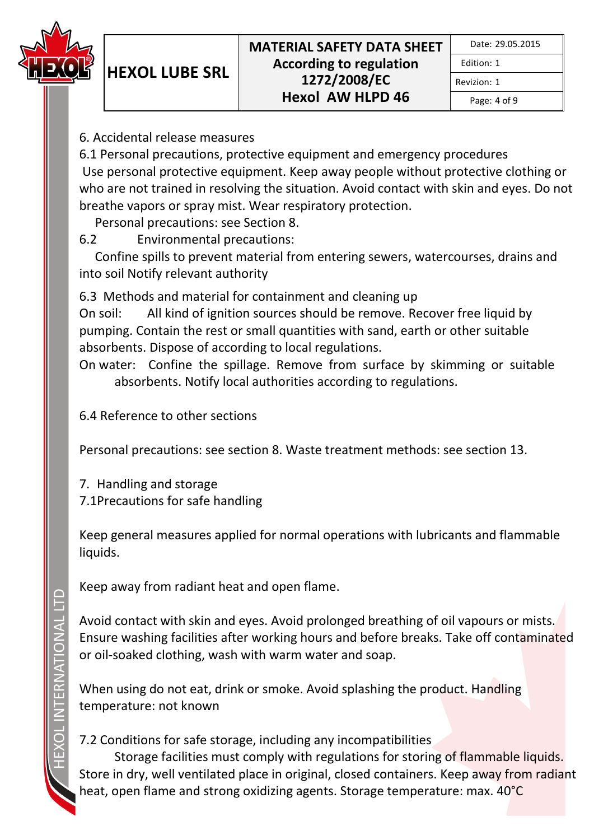

Edition: 1 Revizion: 1

Page: 4 of 9

6. Accidental release measures

**HEXOL LUBE SRL**

6.1 Personal precautions, protective equipment and emergency procedures Use personal protective equipment. Keep away people without protective clothing or who are not trained in resolving the situation. Avoid contact with skin and eyes. Do not breathe vapors or spray mist. Wear respiratory protection.

Personal precautions: see Section 8.

6.2 Environmental precautions:

 Confine spills to prevent material from entering sewers, watercourses, drains and into soil Notify relevant authority

6.3 Methods and material for containment and cleaning up

On soil: All kind of ignition sources should be remove. Recover free liquid by pumping. Contain the rest or small quantities with sand, earth or other suitable absorbents. Dispose of according to local regulations.

On water: Confine the spillage. Remove from surface by skimming or suitable absorbents. Notify local authorities according to regulations.

6.4 Reference to other sections

Personal precautions: see section 8. Waste treatment methods: see section 13.

7. Handling and storage 7.1Precautions for safe handling

Keep general measures applied for normal operations with lubricants and flammable liquids.

Keep away from radiant heat and open flame.

Avoid contact with skin and eyes. Avoid prolonged breathing of oil vapours or mists. Ensure washing facilities after working hours and before breaks. Take off contaminated or oil-soaked clothing, wash with warm water and soap.

When using do not eat, drink or smoke. Avoid splashing the product. Handling temperature: not known

# 7.2 Conditions for safe storage, including any incompatibilities

Storage facilities must comply with regulations for storing of flammable liquids. Store in dry, well ventilated place in original, closed containers. Keep away from radiant heat, open flame and strong oxidizing agents. Storage temperature: max. 40°C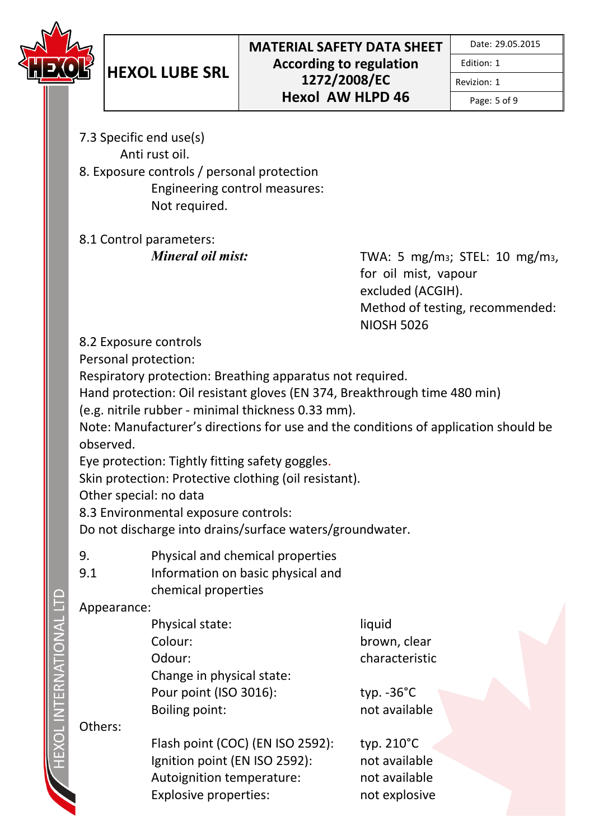

Revizion: 1

Page: 5 of 9

- 7.3 Specific end use(s) Anti rust oil.
- 8. Exposure controls / personal protection Engineering control measures: Not required.

8.1 Control parameters:

*Mineral oil mist:* TWA: 5 mg/m<sub>3</sub>; STEL: 10 mg/m<sub>3</sub>, for oil mist, vapour excluded (ACGIH). Method of testing, recommended: NIOSH 5026

8.2 Exposure controls

Personal protection:

Respiratory protection: Breathing apparatus not required.

Hand protection: Oil resistant gloves (EN 374, Breakthrough time 480 min)

(e.g. nitrile rubber - minimal thickness 0.33 mm).

Note: Manufacturer's directions for use and the conditions of application should be observed.

Eye protection: Tightly fitting safety goggles.

Skin protection: Protective clothing (oil resistant).

Other special: no data

8.3 Environmental exposure controls:

Do not discharge into drains/surface waters/groundwater.

- 9. Physical and chemical properties
- 9.1 Information on basic physical and chemical properties

## Appearance:

| Physical state:           | liquid               |
|---------------------------|----------------------|
| Colour:                   | brown, cle           |
| Odour:                    | characteri           |
| Change in physical state: |                      |
| Pour point (ISO 3016):    | typ. $-36^{\circ}$ C |
| Boiling point:            | not availa           |
|                           |                      |

n. clear cteristic

vailable

Others:

Flash point (COC) (EN ISO 2592): typ. 210°C Ignition point (EN ISO 2592): not available Autoignition temperature: not available Explosive properties: not explosive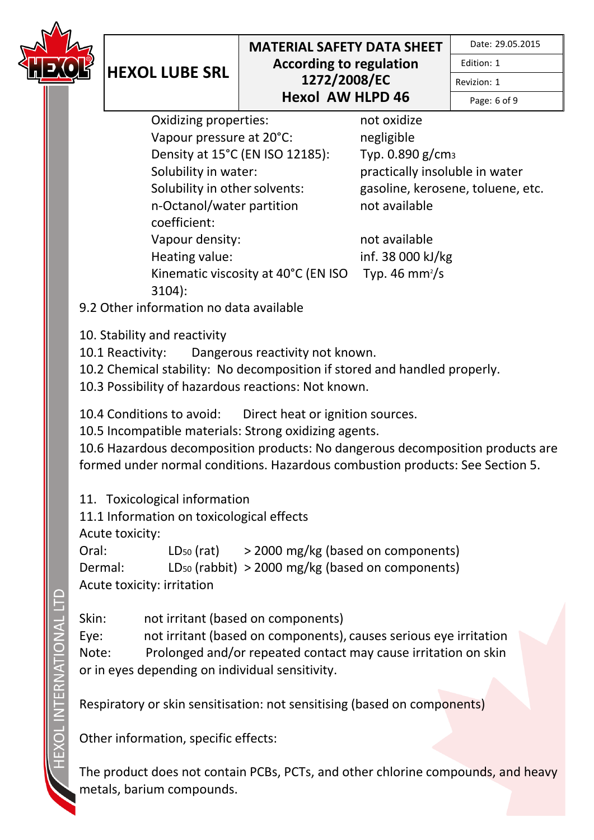

Date: 29.05.2015

Edition: 1

Revizion: 1

Page: 6 of 9

Oxidizing properties: not oxidize Vapour pressure at 20°C: negligible Density at 15°C (EN ISO 12185): Typ. 0.890 g/cm<sup>3</sup> Solubility in water: practically insoluble in water Solubility in other solvents: gasoline, kerosene, toluene, etc. n-Octanol/water partition coefficient: Vapour density: not available Heating value: inf. 38 000 kJ/kg Kinematic viscosity at 40°C (EN ISO 3104):

not available

Typ. 46 mm $\frac{2}{s}$ 

9.2 Other information no data available

10. Stability and reactivity

**HEXOL LUBE SRL**

10.1 Reactivity: Dangerous reactivity not known.

10.2 Chemical stability: No decomposition if stored and handled properly.

10.3 Possibility of hazardous reactions: Not known.

10.4 Conditions to avoid: Direct heat or ignition sources.

10.5 Incompatible materials: Strong oxidizing agents.

10.6 Hazardous decomposition products: No dangerous decomposition products are formed under normal conditions. Hazardous combustion products: See Section 5.

11. Toxicological information

11.1 Information on toxicological effects

Acute toxicity:

Oral:  $LD_{50} (rat)$  > 2000 mg/kg (based on components) Dermal: LD<sup>50</sup> (rabbit) > 2000 mg/kg (based on components) Acute toxicity: irritation

Skin: not irritant (based on components) Eye: not irritant (based on components), causes serious eye irritation Note: Prolonged and/or repeated contact may cause irritation on skin or in eyes depending on individual sensitivity.

Respiratory or skin sensitisation: not sensitising (based on components)

Other information, specific effects:

The product does not contain PCBs, PCTs, and other chlorine compounds, and heavy metals, barium compounds.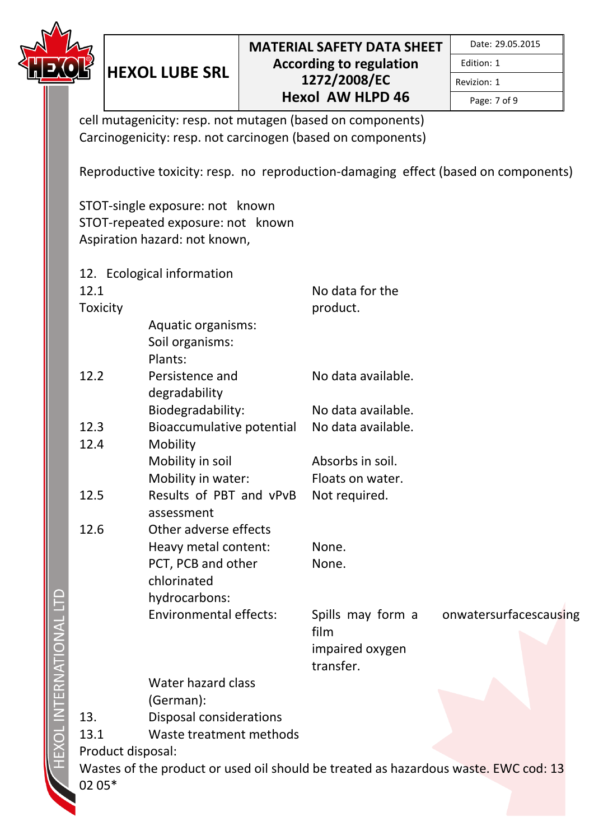

Page: 7 of 9

Revizion: 1

cell mutagenicity: resp. not mutagen (based on components) Carcinogenicity: resp. not carcinogen (based on components)

Reproductive toxicity: resp. no reproduction-damaging effect (based on components)

STOT-single exposure: not known STOT-repeated exposure: not known Aspiration hazard: not known,

**HEXOL LUBE SRL**

12. Ecological information 12.1 **Toxicity** No data for the product. Aquatic organisms: Soil organisms: Plants: 12.2 Persistence and degradability No data available. Biodegradability: No data available. 12.3 Bioaccumulative potential No data available. 12.4 Mobility Mobility in soil **Absorbs** in soil. Mobility in water: Floats on water. 12.5 Results of PBT and vPvB Not required. assessment 12.6 Other adverse effects Heavy metal content: None. PCT, PCB and other chlorinated None. hydrocarbons: Environmental effects: Spills may form a film onwatersurfacescausing impaired oxygen transfer. Water hazard class (German): 13. Disposal considerations 13.1 Waste treatment methods Product disposal: Wastes of the product or used oil should be treated as hazardous waste. EWC cod: 13 02 05\*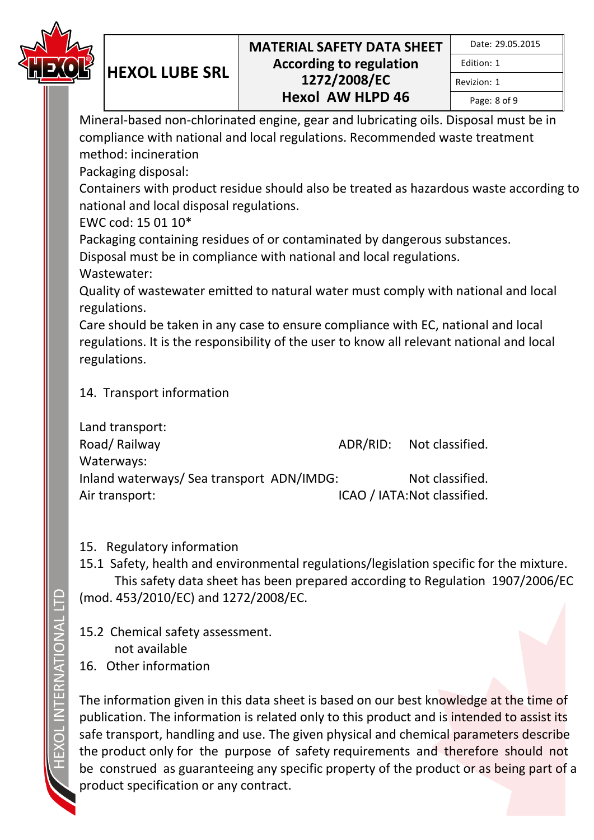

|  | Date: 29.05.2015 |
|--|------------------|
|--|------------------|

Edition: 1 Revizion: 1

Page: 8 of 9

Mineral-based non-chlorinated engine, gear and lubricating oils. Disposal must be in compliance with national and local regulations. Recommended waste treatment method: incineration

Packaging disposal:

**HEXOL LUBE SRL**

Containers with product residue should also be treated as hazardous waste according to national and local disposal regulations.

EWC cod: 15 01 10\*

Packaging containing residues of or contaminated by dangerous substances.

Disposal must be in compliance with national and local regulations.

Wastewater:

Quality of wastewater emitted to natural water must comply with national and local regulations.

Care should be taken in any case to ensure compliance with EC, national and local regulations. It is the responsibility of the user to know all relevant national and local regulations.

## 14. Transport information

| Land transport:                           |                              |
|-------------------------------------------|------------------------------|
| Road/Railway                              | ADR/RID: Not classified.     |
| Waterways:                                |                              |
| Inland waterways/ Sea transport ADN/IMDG: | Not classified.              |
| Air transport:                            | ICAO / IATA: Not classified. |

## 15. Regulatory information

15.1 Safety, health and environmental regulations/legislation specific for the mixture. This safety data sheet has been prepared according to Regulation 1907/2006/EC (mod. 453/2010/EC) and 1272/2008/EC.

15.2 Chemical safety assessment. not available 16. Other information

The information given in this data sheet is based on our best knowledge at the time of publication. The information is related only to this product and is intended to assist its safe transport, handling and use. The given physical and chemical parameters describe the product only for the purpose of safety requirements and therefore should not be construed as guaranteeing any specific property of the product or as being part of a product specification or any contract.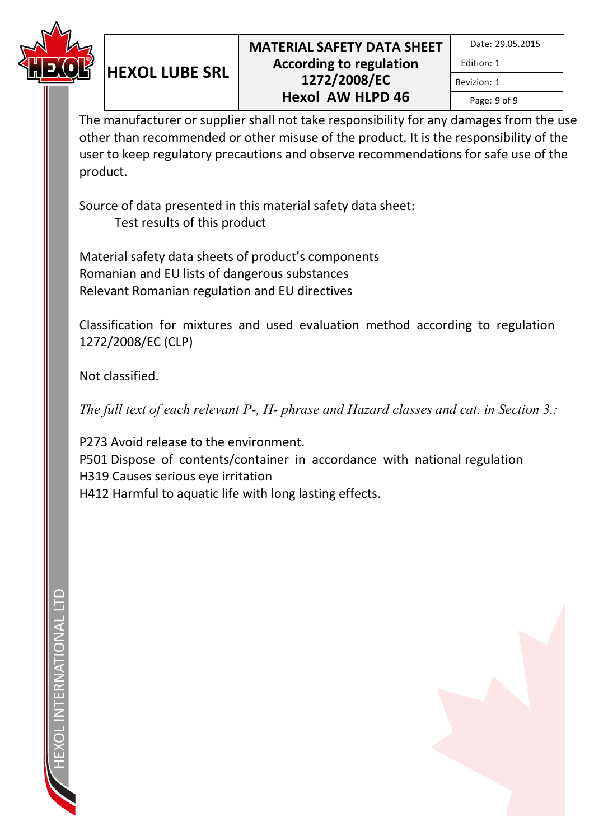

Edition: 1 Revizion: 1

Page: 9 of 9

The manufacturer or supplier shall not take responsibility for any damages from the use other than recommended or other misuse of the product. It is the responsibility of the user to keep regulatory precautions and observe recommendations for safe use of the product.

Source of data presented in this material safety data sheet: Test results of this product

Material safety data sheets of product's components Romanian and EU lists of dangerous substances Relevant Romanian regulation and EU directives

**HEXOL LUBE SRL**

Classification for mixtures and used evaluation method according to regulation 1272/2008/EC (CLP)

Not classified.

*The full text of each relevant P-, H- phrase and Hazard classes and cat. in Section 3.:* 

P273 Avoid release to the environment. P501 Dispose of contents/container in accordance with national regulation H319 Causes serious eye irritation H412 Harmful to aquatic life with long lasting effects.

FRNATIONAL

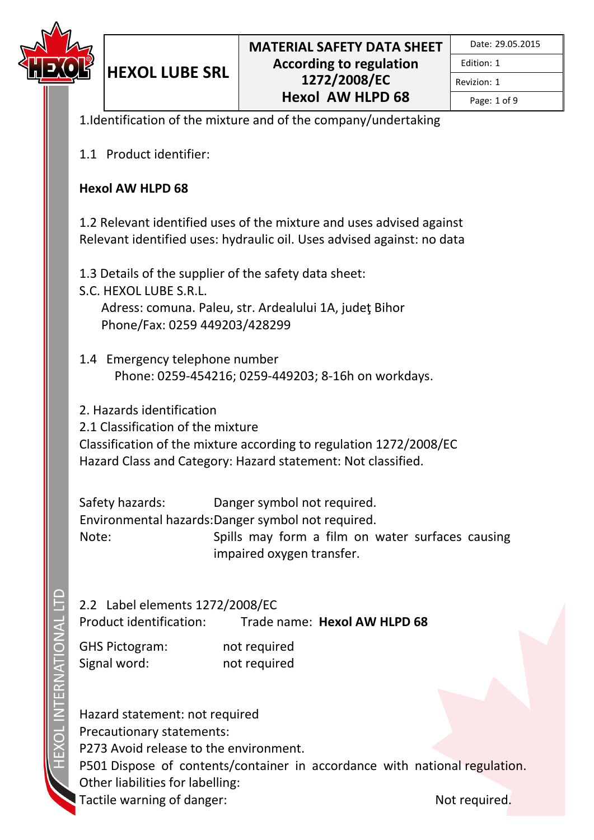

Revizion: 1

Page: 1 of 9

1.Identification of the mixture and of the company/undertaking

1.1 Product identifier:

**HEXOL LUBE SRL**

#### **Hexol AW HLPD 68**

1.2 Relevant identified uses of the mixture and uses advised against Relevant identified uses: hydraulic oil. Uses advised against: no data

1.3 Details of the supplier of the safety data sheet:

S.C. HEXOL LUBE S.R.L. Adress: comuna. Paleu, str. Ardealului 1A, judeţ Bihor Phone/Fax: 0259 449203/428299

1.4 Emergency telephone number Phone: 0259-454216; 0259-449203; 8-16h on workdays.

2. Hazards identification

2.1 Classification of the mixture

Classification of the mixture according to regulation 1272/2008/EC Hazard Class and Category: Hazard statement: Not classified.

Safety hazards: Danger symbol not required. Environmental hazards: Danger symbol not required. Note: Spills may form a film on water surfaces causing impaired oxygen transfer.

2.2 Label elements 1272/2008/EC

Product identification: Trade name: **Hexol AW HLPD 68**

GHS Pictogram: not required Signal word: not required

Hazard statement: not required Precautionary statements: P273 Avoid release to the environment. P501 Dispose of contents/container in accordance with national regulation. Other liabilities for labelling: Tactile warning of danger: Not required.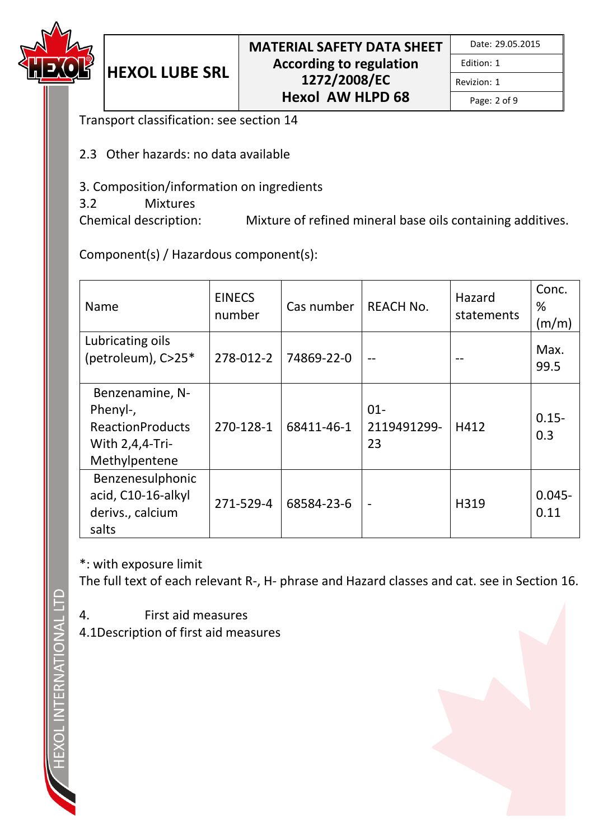

|  | Date: 29.05.2015 |
|--|------------------|
|--|------------------|

Revizion: 1

Page: 2 of 9

Transport classification: see section 14

**HEXOL LUBE SRL**

- 2.3 Other hazards: no data available
- 3. Composition/information on ingredients
- 3.2 Mixtures

Chemical description: Mixture of refined mineral base oils containing additives.

Component(s) / Hazardous component(s):

| Name                                                                                       | <b>EINECS</b><br>number | Cas number | <b>REACH No.</b>            | Hazard<br>statements | Conc.<br>℅<br>(m/m) |
|--------------------------------------------------------------------------------------------|-------------------------|------------|-----------------------------|----------------------|---------------------|
| Lubricating oils<br>(petroleum), C>25*                                                     | 278-012-2               | 74869-22-0 |                             |                      | Max.<br>99.5        |
| Benzenamine, N-<br>Phenyl-,<br><b>ReactionProducts</b><br>With 2,4,4-Tri-<br>Methylpentene | 270-128-1               | 68411-46-1 | $01 -$<br>2119491299-<br>23 | H412                 | $0.15 -$<br>0.3     |
| Benzenesulphonic<br>acid, C10-16-alkyl<br>derivs., calcium<br>salts                        | 271-529-4               | 68584-23-6 | $\blacksquare$              | H319                 | $0.045 -$<br>0.11   |

\*: with exposure limit

The full text of each relevant R-, H- phrase and Hazard classes and cat. see in Section 16.

- 4. First aid measures
- 4.1Description of first aid measures

**TERNATIONAL**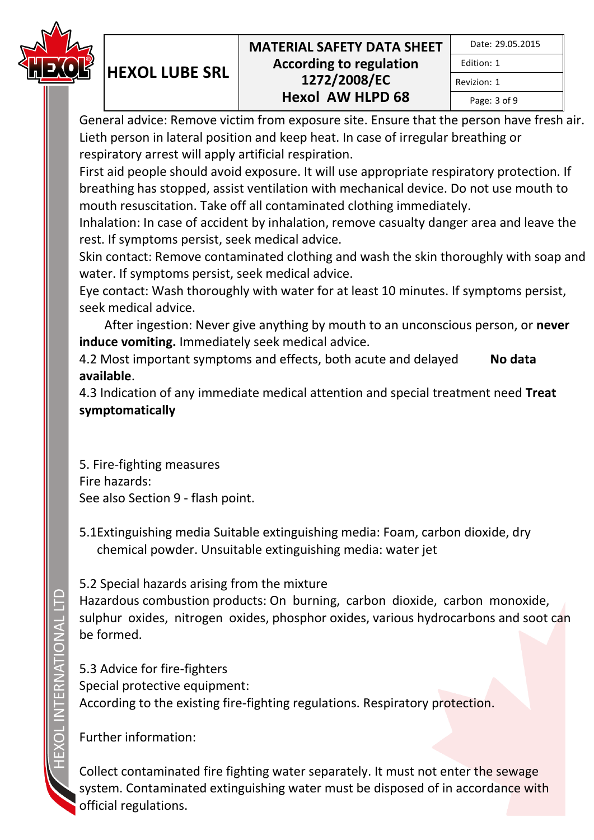

|              | Date: 29.05.2015 |
|--------------|------------------|
| Edition: 1   |                  |
| Revizion: 1  |                  |
| Page: 3 of 9 |                  |

General advice: Remove victim from exposure site. Ensure that the person have fresh air. Lieth person in lateral position and keep heat. In case of irregular breathing or respiratory arrest will apply artificial respiration.

First aid people should avoid exposure. It will use appropriate respiratory protection. If breathing has stopped, assist ventilation with mechanical device. Do not use mouth to mouth resuscitation. Take off all contaminated clothing immediately.

Inhalation: In case of accident by inhalation, remove casualty danger area and leave the rest. If symptoms persist, seek medical advice.

Skin contact: Remove contaminated clothing and wash the skin thoroughly with soap and water. If symptoms persist, seek medical advice.

Eye contact: Wash thoroughly with water for at least 10 minutes. If symptoms persist, seek medical advice.

 After ingestion: Never give anything by mouth to an unconscious person, or **never induce vomiting.** Immediately seek medical advice.

4.2 Most important symptoms and effects, both acute and delayed **No data available**.

4.3 Indication of any immediate medical attention and special treatment need **Treat symptomatically**

5. Fire-fighting measures Fire hazards: See also Section 9 - flash point.

**HEXOL LUBE SRL**

5.1Extinguishing media Suitable extinguishing media: Foam, carbon dioxide, dry chemical powder. Unsuitable extinguishing media: water jet

5.2 Special hazards arising from the mixture

Hazardous combustion products: On burning, carbon dioxide, carbon monoxide, sulphur oxides, nitrogen oxides, phosphor oxides, various hydrocarbons and soot can be formed.

5.3 Advice for fire-fighters Special protective equipment: According to the existing fire-fighting regulations. Respiratory protection.

Further information:

Collect contaminated fire fighting water separately. It must not enter the sewage system. Contaminated extinguishing water must be disposed of in accordance with official regulations.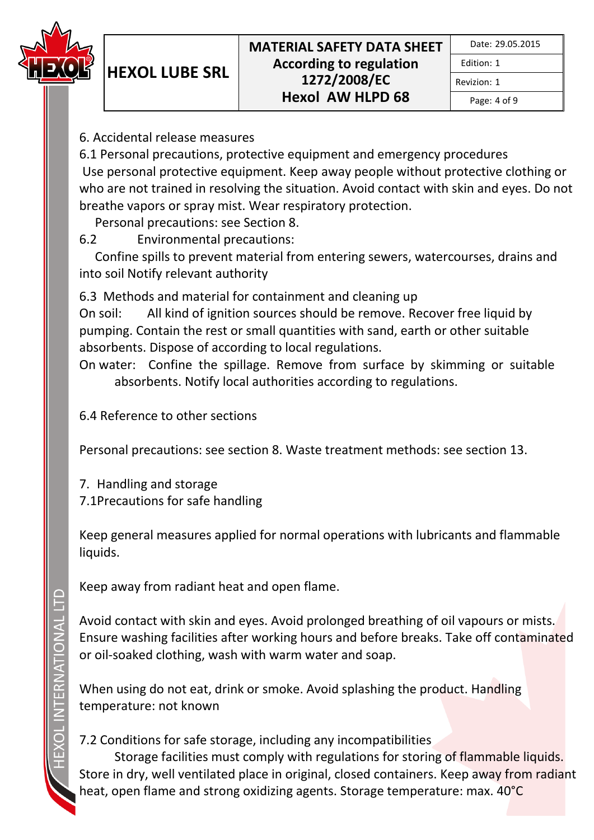

Revizion: 1

Page: 4 of 9

6. Accidental release measures

**HEXOL LUBE SRL**

6.1 Personal precautions, protective equipment and emergency procedures Use personal protective equipment. Keep away people without protective clothing or who are not trained in resolving the situation. Avoid contact with skin and eyes. Do not breathe vapors or spray mist. Wear respiratory protection.

Personal precautions: see Section 8.

6.2 Environmental precautions:

 Confine spills to prevent material from entering sewers, watercourses, drains and into soil Notify relevant authority

6.3 Methods and material for containment and cleaning up

On soil: All kind of ignition sources should be remove. Recover free liquid by pumping. Contain the rest or small quantities with sand, earth or other suitable absorbents. Dispose of according to local regulations.

On water: Confine the spillage. Remove from surface by skimming or suitable absorbents. Notify local authorities according to regulations.

6.4 Reference to other sections

Personal precautions: see section 8. Waste treatment methods: see section 13.

7. Handling and storage 7.1Precautions for safe handling

Keep general measures applied for normal operations with lubricants and flammable liquids.

Keep away from radiant heat and open flame.

Avoid contact with skin and eyes. Avoid prolonged breathing of oil vapours or mists. Ensure washing facilities after working hours and before breaks. Take off contaminated or oil-soaked clothing, wash with warm water and soap.

When using do not eat, drink or smoke. Avoid splashing the product. Handling temperature: not known

# 7.2 Conditions for safe storage, including any incompatibilities

Storage facilities must comply with regulations for storing of flammable liquids. Store in dry, well ventilated place in original, closed containers. Keep away from radiant heat, open flame and strong oxidizing agents. Storage temperature: max. 40°C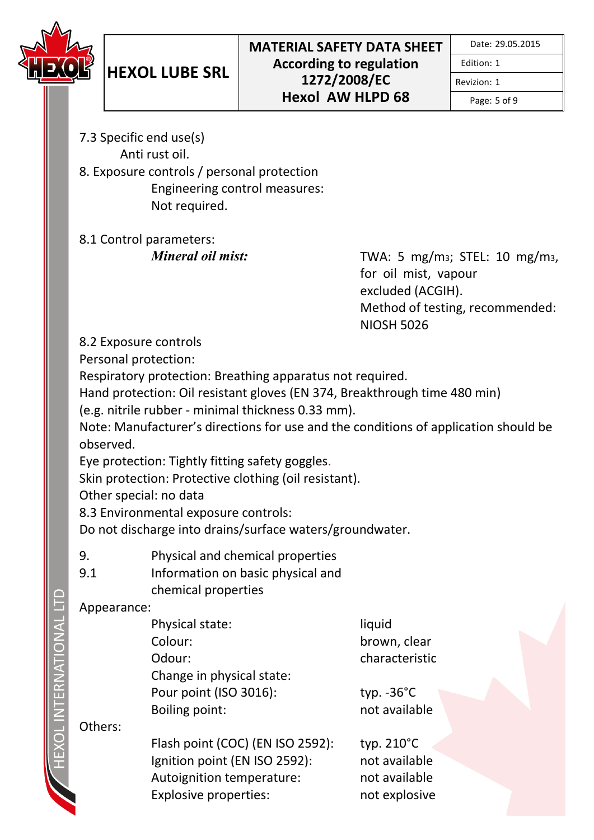

Revizion: 1

Page: 5 of 9

- 7.3 Specific end use(s) Anti rust oil.
- 8. Exposure controls / personal protection Engineering control measures: Not required.

8.1 Control parameters:

*Mineral oil mist:* TWA: 5 mg/m<sub>3</sub>; STEL: 10 mg/m<sub>3</sub>, for oil mist, vapour excluded (ACGIH). Method of testing, recommended: NIOSH 5026

8.2 Exposure controls

Personal protection:

Respiratory protection: Breathing apparatus not required.

Hand protection: Oil resistant gloves (EN 374, Breakthrough time 480 min)

(e.g. nitrile rubber - minimal thickness 0.33 mm).

Note: Manufacturer's directions for use and the conditions of application should be observed.

Eye protection: Tightly fitting safety goggles.

Skin protection: Protective clothing (oil resistant).

Other special: no data

8.3 Environmental exposure controls:

Do not discharge into drains/surface waters/groundwater.

- 9. Physical and chemical properties
- 9.1 Information on basic physical and chemical properties

## Appearance:

| Physical state:           | liquid               |
|---------------------------|----------------------|
| Colour:                   | brown, cle           |
| Odour:                    | characteri           |
| Change in physical state: |                      |
| Pour point (ISO 3016):    | typ. $-36^{\circ}$ C |
| Boiling point:            | not availa           |
|                           |                      |

Others:

Flash point (COC) (EN ISO 2592): typ. 210°C Ignition point (EN ISO 2592): not available Autoignition temperature: not available Explosive properties: not explosive

n. clear cteristic

vailable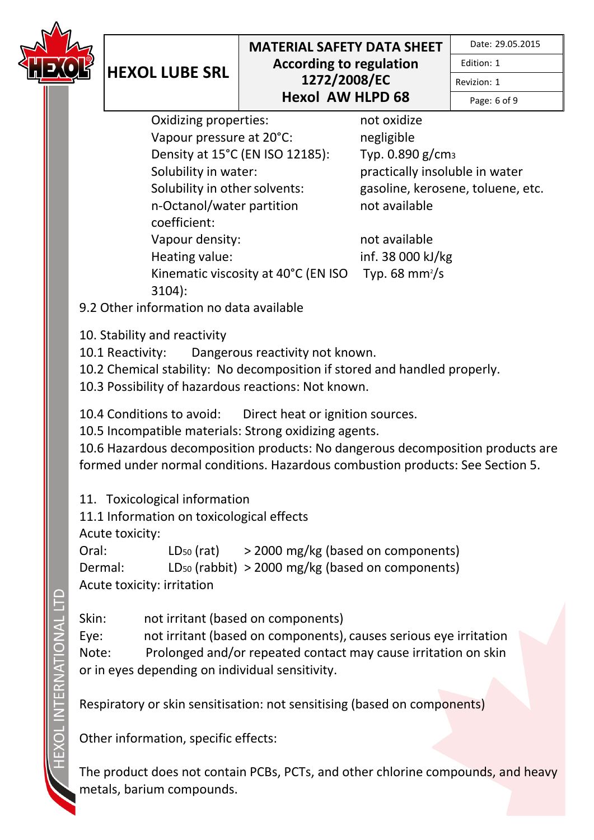

Date: 29.05.2015

Edition: 1

Revizion: 1

Page: 6 of 9

Oxidizing properties: not oxidize Vapour pressure at 20°C: negligible Density at 15°C (EN ISO 12185): Typ. 0.890 g/cm<sup>3</sup> Solubility in water: practically insoluble in water Solubility in other solvents: gasoline, kerosene, toluene, etc. n-Octanol/water partition coefficient: Vapour density: not available Heating value: inf. 38 000 kJ/kg Kinematic viscosity at 40°C (EN ISO 3104):

not available

Typ. 68 mm $\frac{2}{s}$ 

9.2 Other information no data available

10. Stability and reactivity

**HEXOL LUBE SRL**

10.1 Reactivity: Dangerous reactivity not known.

10.2 Chemical stability: No decomposition if stored and handled properly.

10.3 Possibility of hazardous reactions: Not known.

10.4 Conditions to avoid: Direct heat or ignition sources.

10.5 Incompatible materials: Strong oxidizing agents.

10.6 Hazardous decomposition products: No dangerous decomposition products are formed under normal conditions. Hazardous combustion products: See Section 5.

11. Toxicological information

11.1 Information on toxicological effects

Acute toxicity:

Oral:  $LD_{50} (rat)$  > 2000 mg/kg (based on components) Dermal: LD<sup>50</sup> (rabbit) > 2000 mg/kg (based on components) Acute toxicity: irritation

Skin: not irritant (based on components) Eye: not irritant (based on components), causes serious eye irritation Note: Prolonged and/or repeated contact may cause irritation on skin or in eyes depending on individual sensitivity.

Respiratory or skin sensitisation: not sensitising (based on components)

Other information, specific effects:

The product does not contain PCBs, PCTs, and other chlorine compounds, and heavy metals, barium compounds.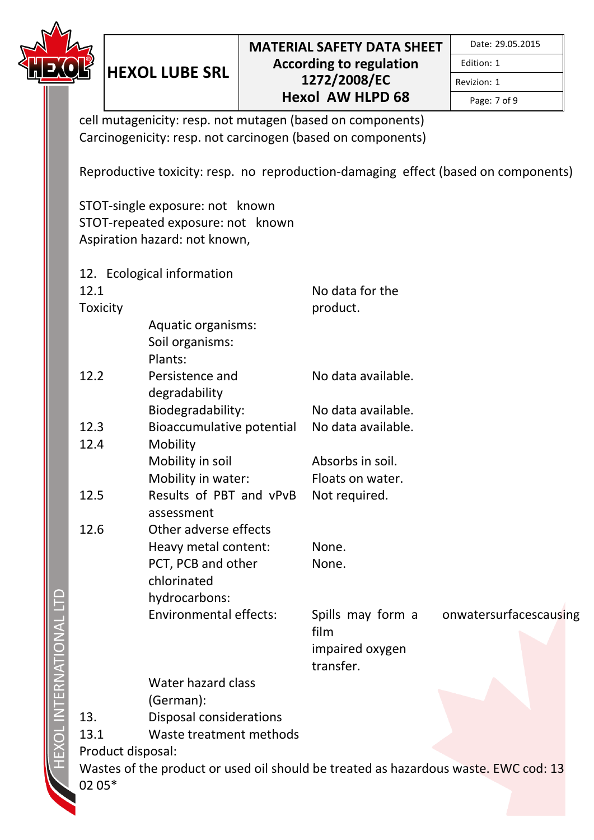

Page: 7 of 9

Revizion: 1

cell mutagenicity: resp. not mutagen (based on components) Carcinogenicity: resp. not carcinogen (based on components)

Reproductive toxicity: resp. no reproduction-damaging effect (based on components)

STOT-single exposure: not known STOT-repeated exposure: not known Aspiration hazard: not known,

**HEXOL LUBE SRL**

12. Ecological information 12.1 **Toxicity** No data for the product. Aquatic organisms: Soil organisms: Plants: 12.2 Persistence and degradability No data available. Biodegradability: No data available. 12.3 Bioaccumulative potential No data available. 12.4 Mobility Mobility in soil **Absorbs** in soil. Mobility in water: Floats on water. 12.5 Results of PBT and vPvB Not required. assessment 12.6 Other adverse effects Heavy metal content: None. PCT, PCB and other chlorinated None. hydrocarbons: Environmental effects: Spills may form a film onwatersurfacescausing impaired oxygen transfer. Water hazard class (German): 13. Disposal considerations 13.1 Waste treatment methods Product disposal: Wastes of the product or used oil should be treated as hazardous waste. EWC cod: 13 02 05\*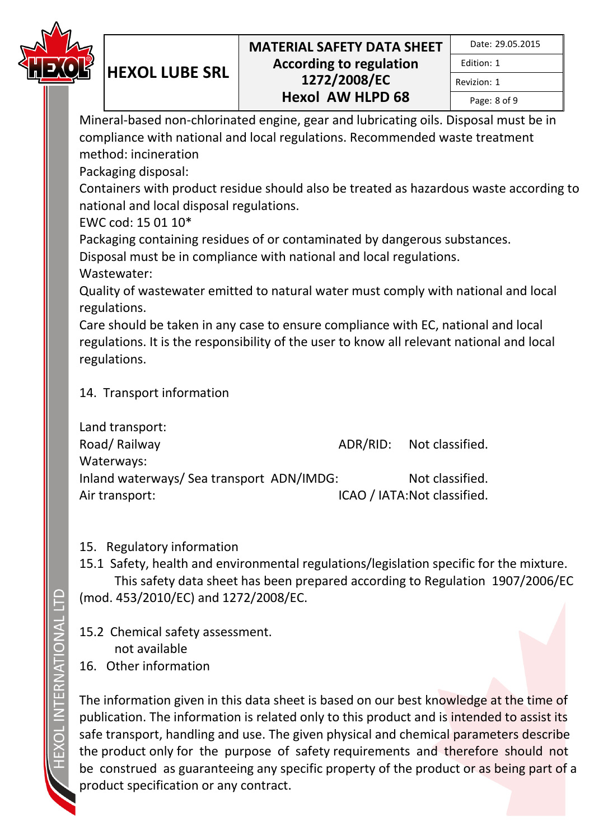

|  | Date: 29.05.2015 |
|--|------------------|
|--|------------------|

Edition: 1 Revizion: 1

Page: 8 of 9

Mineral-based non-chlorinated engine, gear and lubricating oils. Disposal must be in compliance with national and local regulations. Recommended waste treatment method: incineration

Packaging disposal:

**HEXOL LUBE SRL**

Containers with product residue should also be treated as hazardous waste according to national and local disposal regulations.

EWC cod: 15 01 10\*

Packaging containing residues of or contaminated by dangerous substances.

Disposal must be in compliance with national and local regulations.

Wastewater:

Quality of wastewater emitted to natural water must comply with national and local regulations.

Care should be taken in any case to ensure compliance with EC, national and local regulations. It is the responsibility of the user to know all relevant national and local regulations.

## 14. Transport information

|                                           | ADR/RID: Not classified.     |
|-------------------------------------------|------------------------------|
|                                           |                              |
| Inland waterways/ Sea transport ADN/IMDG: | Not classified.              |
|                                           | ICAO / IATA: Not classified. |
|                                           |                              |

## 15. Regulatory information

15.1 Safety, health and environmental regulations/legislation specific for the mixture. This safety data sheet has been prepared according to Regulation 1907/2006/EC (mod. 453/2010/EC) and 1272/2008/EC.

15.2 Chemical safety assessment. not available 16. Other information

The information given in this data sheet is based on our best knowledge at the time of publication. The information is related only to this product and is intended to assist its safe transport, handling and use. The given physical and chemical parameters describe the product only for the purpose of safety requirements and therefore should not be construed as guaranteeing any specific property of the product or as being part of a product specification or any contract.